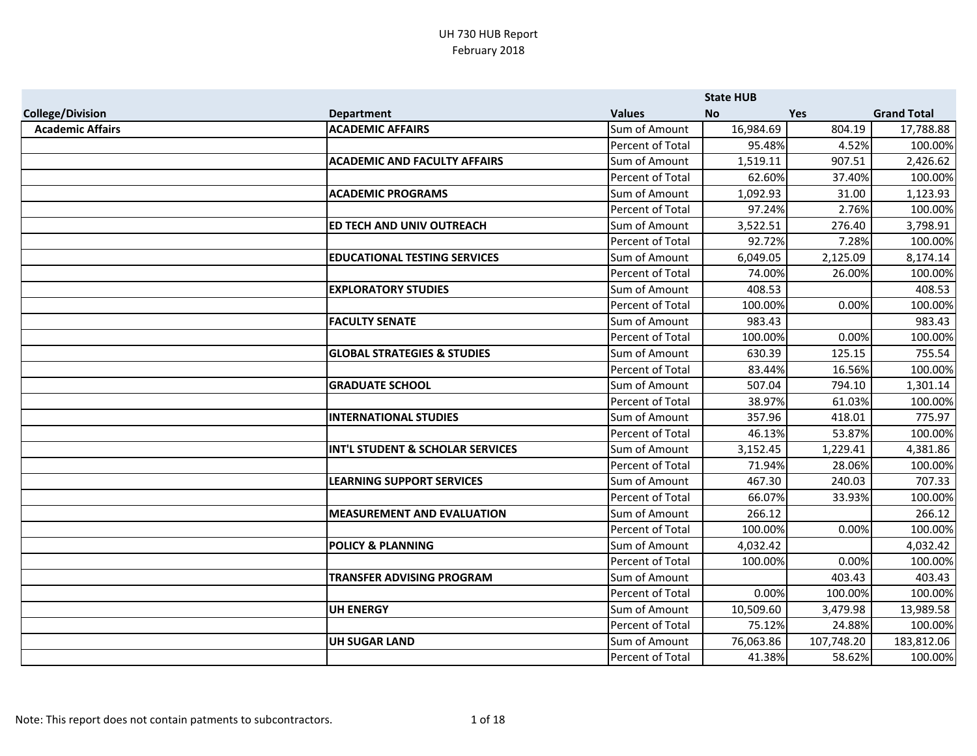|                         |                                        |                         | <b>State HUB</b> |            |                    |
|-------------------------|----------------------------------------|-------------------------|------------------|------------|--------------------|
| <b>College/Division</b> | <b>Department</b>                      | <b>Values</b>           | <b>No</b>        | <b>Yes</b> | <b>Grand Total</b> |
| <b>Academic Affairs</b> | <b>ACADEMIC AFFAIRS</b>                | Sum of Amount           | 16,984.69        | 804.19     | 17,788.88          |
|                         |                                        | Percent of Total        | 95.48%           | 4.52%      | 100.00%            |
|                         | <b>ACADEMIC AND FACULTY AFFAIRS</b>    | Sum of Amount           | 1,519.11         | 907.51     | 2,426.62           |
|                         |                                        | Percent of Total        | 62.60%           | 37.40%     | 100.00%            |
|                         | <b>ACADEMIC PROGRAMS</b>               | Sum of Amount           | 1,092.93         | 31.00      | 1,123.93           |
|                         |                                        | Percent of Total        | 97.24%           | 2.76%      | 100.00%            |
|                         | ED TECH AND UNIV OUTREACH              | Sum of Amount           | 3,522.51         | 276.40     | 3,798.91           |
|                         |                                        | Percent of Total        | 92.72%           | 7.28%      | 100.00%            |
|                         | <b>EDUCATIONAL TESTING SERVICES</b>    | Sum of Amount           | 6,049.05         | 2,125.09   | 8,174.14           |
|                         |                                        | Percent of Total        | 74.00%           | 26.00%     | 100.00%            |
|                         | <b>EXPLORATORY STUDIES</b>             | Sum of Amount           | 408.53           |            | 408.53             |
|                         |                                        | Percent of Total        | 100.00%          | 0.00%      | 100.00%            |
|                         | <b>FACULTY SENATE</b>                  | Sum of Amount           | 983.43           |            | 983.43             |
|                         |                                        | Percent of Total        | 100.00%          | 0.00%      | 100.00%            |
|                         | <b>GLOBAL STRATEGIES &amp; STUDIES</b> | Sum of Amount           | 630.39           | 125.15     | 755.54             |
|                         |                                        | Percent of Total        | 83.44%           | 16.56%     | 100.00%            |
|                         | <b>GRADUATE SCHOOL</b>                 | Sum of Amount           | 507.04           | 794.10     | 1,301.14           |
|                         |                                        | Percent of Total        | 38.97%           | 61.03%     | 100.00%            |
|                         | <b>INTERNATIONAL STUDIES</b>           | Sum of Amount           | 357.96           | 418.01     | 775.97             |
|                         |                                        | Percent of Total        | 46.13%           | 53.87%     | 100.00%            |
|                         | INT'L STUDENT & SCHOLAR SERVICES       | Sum of Amount           | 3,152.45         | 1,229.41   | 4,381.86           |
|                         |                                        | <b>Percent of Total</b> | 71.94%           | 28.06%     | 100.00%            |
|                         | <b>LEARNING SUPPORT SERVICES</b>       | Sum of Amount           | 467.30           | 240.03     | 707.33             |
|                         |                                        | Percent of Total        | 66.07%           | 33.93%     | 100.00%            |
|                         | <b>MEASUREMENT AND EVALUATION</b>      | Sum of Amount           | 266.12           |            | 266.12             |
|                         |                                        | Percent of Total        | 100.00%          | 0.00%      | 100.00%            |
|                         | <b>POLICY &amp; PLANNING</b>           | Sum of Amount           | 4,032.42         |            | 4,032.42           |
|                         |                                        | Percent of Total        | 100.00%          | 0.00%      | 100.00%            |
|                         | TRANSFER ADVISING PROGRAM              | Sum of Amount           |                  | 403.43     | 403.43             |
|                         |                                        | Percent of Total        | 0.00%            | 100.00%    | 100.00%            |
|                         | <b>UH ENERGY</b>                       | Sum of Amount           | 10,509.60        | 3,479.98   | 13,989.58          |
|                         |                                        | Percent of Total        | 75.12%           | 24.88%     | 100.00%            |
|                         | <b>UH SUGAR LAND</b>                   | Sum of Amount           | 76,063.86        | 107,748.20 | 183,812.06         |
|                         |                                        | Percent of Total        | 41.38%           | 58.62%     | 100.00%            |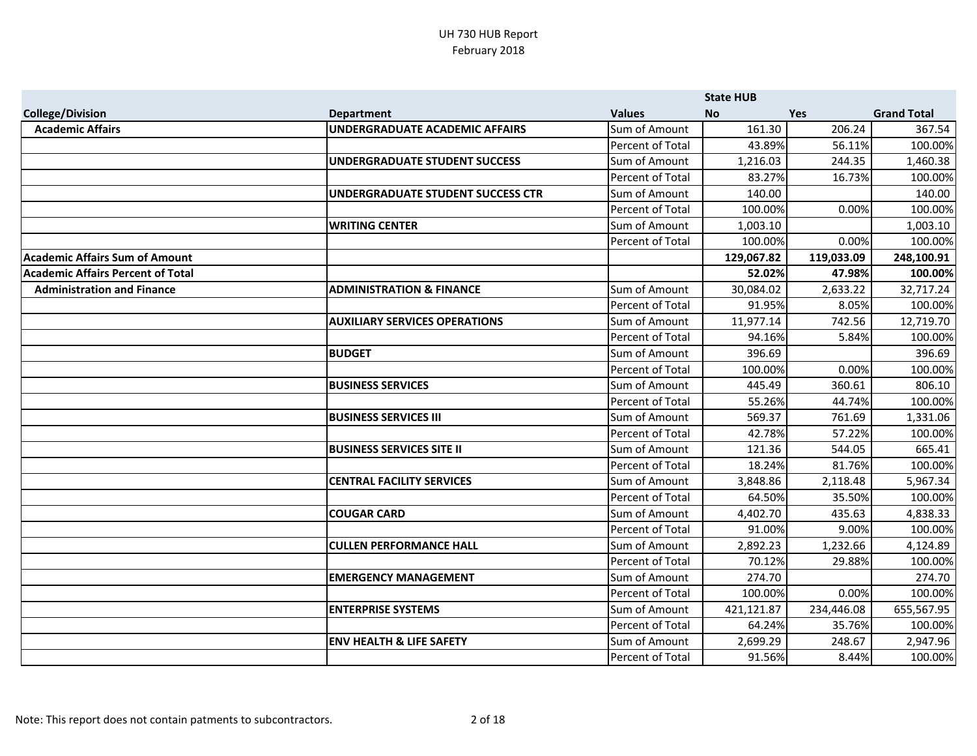|                                          |                                          |                  | <b>State HUB</b> |            |                    |
|------------------------------------------|------------------------------------------|------------------|------------------|------------|--------------------|
| <b>College/Division</b>                  | <b>Department</b>                        | <b>Values</b>    | <b>No</b>        | <b>Yes</b> | <b>Grand Total</b> |
| <b>Academic Affairs</b>                  | <b>UNDERGRADUATE ACADEMIC AFFAIRS</b>    | Sum of Amount    | 161.30           | 206.24     | 367.54             |
|                                          |                                          | Percent of Total | 43.89%           | 56.11%     | 100.00%            |
|                                          | UNDERGRADUATE STUDENT SUCCESS            | Sum of Amount    | 1,216.03         | 244.35     | 1,460.38           |
|                                          |                                          | Percent of Total | 83.27%           | 16.73%     | 100.00%            |
|                                          | <b>UNDERGRADUATE STUDENT SUCCESS CTR</b> | Sum of Amount    | 140.00           |            | 140.00             |
|                                          |                                          | Percent of Total | 100.00%          | 0.00%      | 100.00%            |
|                                          | <b>WRITING CENTER</b>                    | Sum of Amount    | 1,003.10         |            | 1,003.10           |
|                                          |                                          | Percent of Total | 100.00%          | 0.00%      | 100.00%            |
| <b>Academic Affairs Sum of Amount</b>    |                                          |                  | 129,067.82       | 119,033.09 | 248,100.91         |
| <b>Academic Affairs Percent of Total</b> |                                          |                  | 52.02%           | 47.98%     | 100.00%            |
| <b>Administration and Finance</b>        | <b>ADMINISTRATION &amp; FINANCE</b>      | Sum of Amount    | 30,084.02        | 2,633.22   | 32,717.24          |
|                                          |                                          | Percent of Total | 91.95%           | 8.05%      | 100.00%            |
|                                          | <b>AUXILIARY SERVICES OPERATIONS</b>     | Sum of Amount    | 11,977.14        | 742.56     | 12,719.70          |
|                                          |                                          | Percent of Total | 94.16%           | 5.84%      | 100.00%            |
|                                          | <b>BUDGET</b>                            | Sum of Amount    | 396.69           |            | 396.69             |
|                                          |                                          | Percent of Total | 100.00%          | 0.00%      | 100.00%            |
|                                          | <b>BUSINESS SERVICES</b>                 | Sum of Amount    | 445.49           | 360.61     | 806.10             |
|                                          |                                          | Percent of Total | 55.26%           | 44.74%     | 100.00%            |
|                                          | <b>BUSINESS SERVICES III</b>             | Sum of Amount    | 569.37           | 761.69     | 1,331.06           |
|                                          |                                          | Percent of Total | 42.78%           | 57.22%     | 100.00%            |
|                                          | <b>BUSINESS SERVICES SITE II</b>         | Sum of Amount    | 121.36           | 544.05     | 665.41             |
|                                          |                                          | Percent of Total | 18.24%           | 81.76%     | 100.00%            |
|                                          | <b>CENTRAL FACILITY SERVICES</b>         | Sum of Amount    | 3,848.86         | 2,118.48   | 5,967.34           |
|                                          |                                          | Percent of Total | 64.50%           | 35.50%     | 100.00%            |
|                                          | <b>COUGAR CARD</b>                       | Sum of Amount    | 4,402.70         | 435.63     | 4,838.33           |
|                                          |                                          | Percent of Total | 91.00%           | 9.00%      | 100.00%            |
|                                          | <b>CULLEN PERFORMANCE HALL</b>           | Sum of Amount    | 2,892.23         | 1,232.66   | 4,124.89           |
|                                          |                                          | Percent of Total | 70.12%           | 29.88%     | 100.00%            |
|                                          | <b>EMERGENCY MANAGEMENT</b>              | Sum of Amount    | 274.70           |            | 274.70             |
|                                          |                                          | Percent of Total | 100.00%          | 0.00%      | 100.00%            |
|                                          | <b>ENTERPRISE SYSTEMS</b>                | Sum of Amount    | 421,121.87       | 234,446.08 | 655,567.95         |
|                                          |                                          | Percent of Total | 64.24%           | 35.76%     | 100.00%            |
|                                          | <b>ENV HEALTH &amp; LIFE SAFETY</b>      | Sum of Amount    | 2,699.29         | 248.67     | 2,947.96           |
|                                          |                                          | Percent of Total | 91.56%           | 8.44%      | 100.00%            |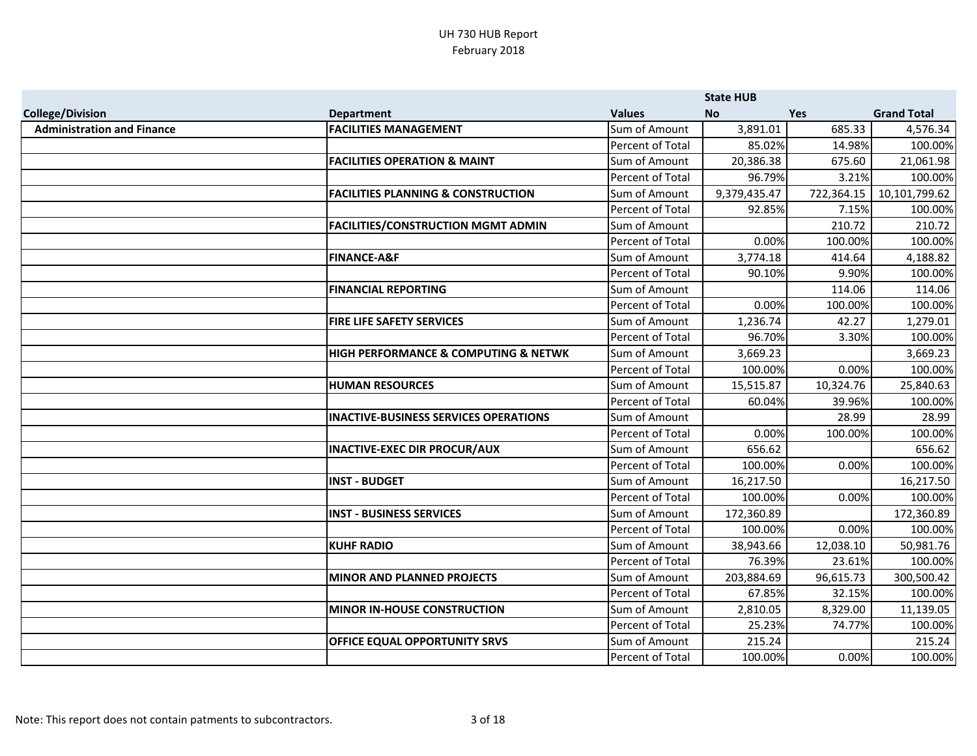|                                   |                                               |                  | <b>State HUB</b> |            |                    |
|-----------------------------------|-----------------------------------------------|------------------|------------------|------------|--------------------|
| <b>College/Division</b>           | <b>Department</b>                             | <b>Values</b>    | <b>No</b>        | <b>Yes</b> | <b>Grand Total</b> |
| <b>Administration and Finance</b> | <b>FACILITIES MANAGEMENT</b>                  | Sum of Amount    | 3,891.01         | 685.33     | 4,576.34           |
|                                   |                                               | Percent of Total | 85.02%           | 14.98%     | 100.00%            |
|                                   | <b>FACILITIES OPERATION &amp; MAINT</b>       | Sum of Amount    | 20,386.38        | 675.60     | 21,061.98          |
|                                   |                                               | Percent of Total | 96.79%           | 3.21%      | 100.00%            |
|                                   | <b>FACILITIES PLANNING &amp; CONSTRUCTION</b> | Sum of Amount    | 9,379,435.47     | 722,364.15 | 10,101,799.62      |
|                                   |                                               | Percent of Total | 92.85%           | 7.15%      | 100.00%            |
|                                   | <b>FACILITIES/CONSTRUCTION MGMT ADMIN</b>     | Sum of Amount    |                  | 210.72     | 210.72             |
|                                   |                                               | Percent of Total | 0.00%            | 100.00%    | 100.00%            |
|                                   | <b>FINANCE-A&amp;F</b>                        | Sum of Amount    | 3,774.18         | 414.64     | 4,188.82           |
|                                   |                                               | Percent of Total | 90.10%           | 9.90%      | 100.00%            |
|                                   | <b>FINANCIAL REPORTING</b>                    | Sum of Amount    |                  | 114.06     | 114.06             |
|                                   |                                               | Percent of Total | 0.00%            | 100.00%    | 100.00%            |
|                                   | <b>FIRE LIFE SAFETY SERVICES</b>              | Sum of Amount    | 1,236.74         | 42.27      | 1,279.01           |
|                                   |                                               | Percent of Total | 96.70%           | 3.30%      | 100.00%            |
|                                   | HIGH PERFORMANCE & COMPUTING & NETWK          | Sum of Amount    | 3,669.23         |            | 3,669.23           |
|                                   |                                               | Percent of Total | 100.00%          | 0.00%      | 100.00%            |
|                                   | <b>HUMAN RESOURCES</b>                        | Sum of Amount    | 15,515.87        | 10,324.76  | 25,840.63          |
|                                   |                                               | Percent of Total | 60.04%           | 39.96%     | 100.00%            |
|                                   | <b>INACTIVE-BUSINESS SERVICES OPERATIONS</b>  | Sum of Amount    |                  | 28.99      | 28.99              |
|                                   |                                               | Percent of Total | 0.00%            | 100.00%    | 100.00%            |
|                                   | <b>INACTIVE-EXEC DIR PROCUR/AUX</b>           | Sum of Amount    | 656.62           |            | 656.62             |
|                                   |                                               | Percent of Total | 100.00%          | 0.00%      | 100.00%            |
|                                   | <b>INST - BUDGET</b>                          | Sum of Amount    | 16,217.50        |            | 16,217.50          |
|                                   |                                               | Percent of Total | 100.00%          | 0.00%      | 100.00%            |
|                                   | <b>INST - BUSINESS SERVICES</b>               | Sum of Amount    | 172,360.89       |            | 172,360.89         |
|                                   |                                               | Percent of Total | 100.00%          | 0.00%      | 100.00%            |
|                                   | <b>KUHF RADIO</b>                             | Sum of Amount    | 38,943.66        | 12,038.10  | 50,981.76          |
|                                   |                                               | Percent of Total | 76.39%           | 23.61%     | 100.00%            |
|                                   | <b>MINOR AND PLANNED PROJECTS</b>             | Sum of Amount    | 203,884.69       | 96,615.73  | 300,500.42         |
|                                   |                                               | Percent of Total | 67.85%           | 32.15%     | 100.00%            |
|                                   | <b>MINOR IN-HOUSE CONSTRUCTION</b>            | Sum of Amount    | 2,810.05         | 8,329.00   | 11,139.05          |
|                                   |                                               | Percent of Total | 25.23%           | 74.77%     | 100.00%            |
|                                   | OFFICE EQUAL OPPORTUNITY SRVS                 | Sum of Amount    | 215.24           |            | 215.24             |
|                                   |                                               | Percent of Total | 100.00%          | 0.00%      | 100.00%            |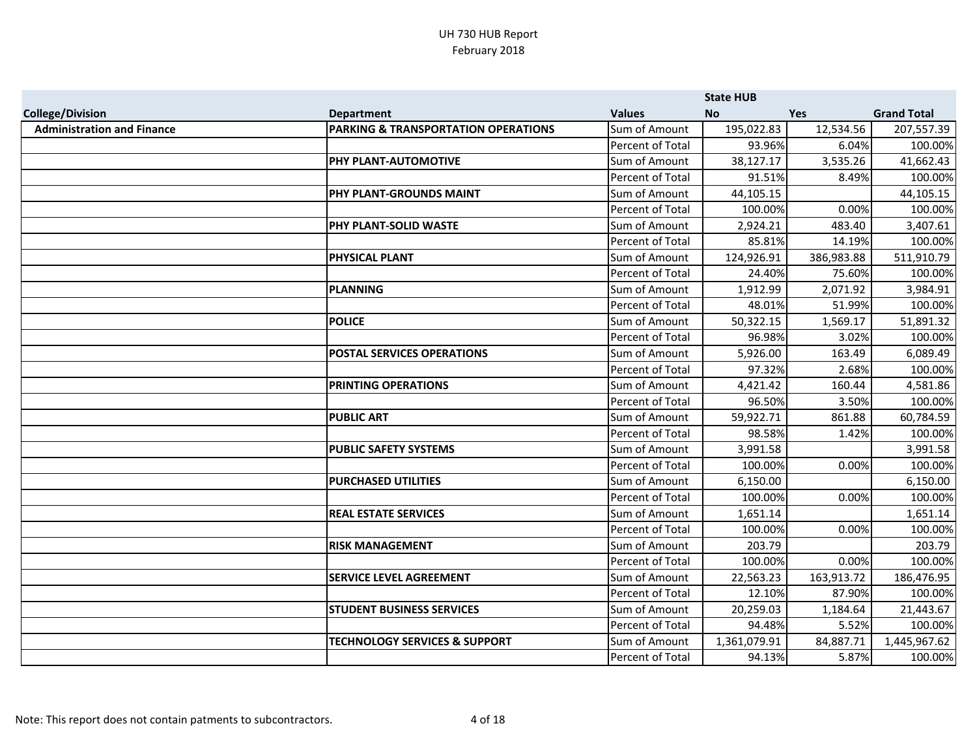|                                   |                                          |                  | <b>State HUB</b> |            |                    |
|-----------------------------------|------------------------------------------|------------------|------------------|------------|--------------------|
| <b>College/Division</b>           | <b>Department</b>                        | <b>Values</b>    | <b>No</b>        | <b>Yes</b> | <b>Grand Total</b> |
| <b>Administration and Finance</b> | PARKING & TRANSPORTATION OPERATIONS      | Sum of Amount    | 195,022.83       | 12,534.56  | 207,557.39         |
|                                   |                                          | Percent of Total | 93.96%           | 6.04%      | 100.00%            |
|                                   | PHY PLANT-AUTOMOTIVE                     | Sum of Amount    | 38,127.17        | 3,535.26   | 41,662.43          |
|                                   |                                          | Percent of Total | 91.51%           | 8.49%      | 100.00%            |
|                                   | PHY PLANT-GROUNDS MAINT                  | Sum of Amount    | 44,105.15        |            | 44,105.15          |
|                                   |                                          | Percent of Total | 100.00%          | 0.00%      | 100.00%            |
|                                   | PHY PLANT-SOLID WASTE                    | Sum of Amount    | 2,924.21         | 483.40     | 3,407.61           |
|                                   |                                          | Percent of Total | 85.81%           | 14.19%     | 100.00%            |
|                                   | <b>PHYSICAL PLANT</b>                    | Sum of Amount    | 124,926.91       | 386,983.88 | 511,910.79         |
|                                   |                                          | Percent of Total | 24.40%           | 75.60%     | 100.00%            |
|                                   | <b>PLANNING</b>                          | Sum of Amount    | 1,912.99         | 2,071.92   | 3,984.91           |
|                                   |                                          | Percent of Total | 48.01%           | 51.99%     | 100.00%            |
|                                   | <b>POLICE</b>                            | Sum of Amount    | 50,322.15        | 1,569.17   | 51,891.32          |
|                                   |                                          | Percent of Total | 96.98%           | 3.02%      | 100.00%            |
|                                   | <b>POSTAL SERVICES OPERATIONS</b>        | Sum of Amount    | 5,926.00         | 163.49     | 6,089.49           |
|                                   |                                          | Percent of Total | 97.32%           | 2.68%      | 100.00%            |
|                                   | PRINTING OPERATIONS                      | Sum of Amount    | 4,421.42         | 160.44     | 4,581.86           |
|                                   |                                          | Percent of Total | 96.50%           | 3.50%      | 100.00%            |
|                                   | <b>PUBLIC ART</b>                        | Sum of Amount    | 59,922.71        | 861.88     | 60,784.59          |
|                                   |                                          | Percent of Total | 98.58%           | 1.42%      | 100.00%            |
|                                   | <b>PUBLIC SAFETY SYSTEMS</b>             | Sum of Amount    | 3,991.58         |            | 3,991.58           |
|                                   |                                          | Percent of Total | 100.00%          | 0.00%      | 100.00%            |
|                                   | <b>PURCHASED UTILITIES</b>               | Sum of Amount    | 6,150.00         |            | 6,150.00           |
|                                   |                                          | Percent of Total | 100.00%          | 0.00%      | 100.00%            |
|                                   | <b>REAL ESTATE SERVICES</b>              | Sum of Amount    | 1,651.14         |            | 1,651.14           |
|                                   |                                          | Percent of Total | 100.00%          | 0.00%      | 100.00%            |
|                                   | <b>RISK MANAGEMENT</b>                   | Sum of Amount    | 203.79           |            | 203.79             |
|                                   |                                          | Percent of Total | 100.00%          | 0.00%      | 100.00%            |
|                                   | <b>SERVICE LEVEL AGREEMENT</b>           | Sum of Amount    | 22,563.23        | 163,913.72 | 186,476.95         |
|                                   |                                          | Percent of Total | 12.10%           | 87.90%     | 100.00%            |
|                                   | <b>STUDENT BUSINESS SERVICES</b>         | Sum of Amount    | 20,259.03        | 1,184.64   | 21,443.67          |
|                                   |                                          | Percent of Total | 94.48%           | 5.52%      | 100.00%            |
|                                   | <b>TECHNOLOGY SERVICES &amp; SUPPORT</b> | Sum of Amount    | 1,361,079.91     | 84,887.71  | 1,445,967.62       |
|                                   |                                          | Percent of Total | 94.13%           | 5.87%      | 100.00%            |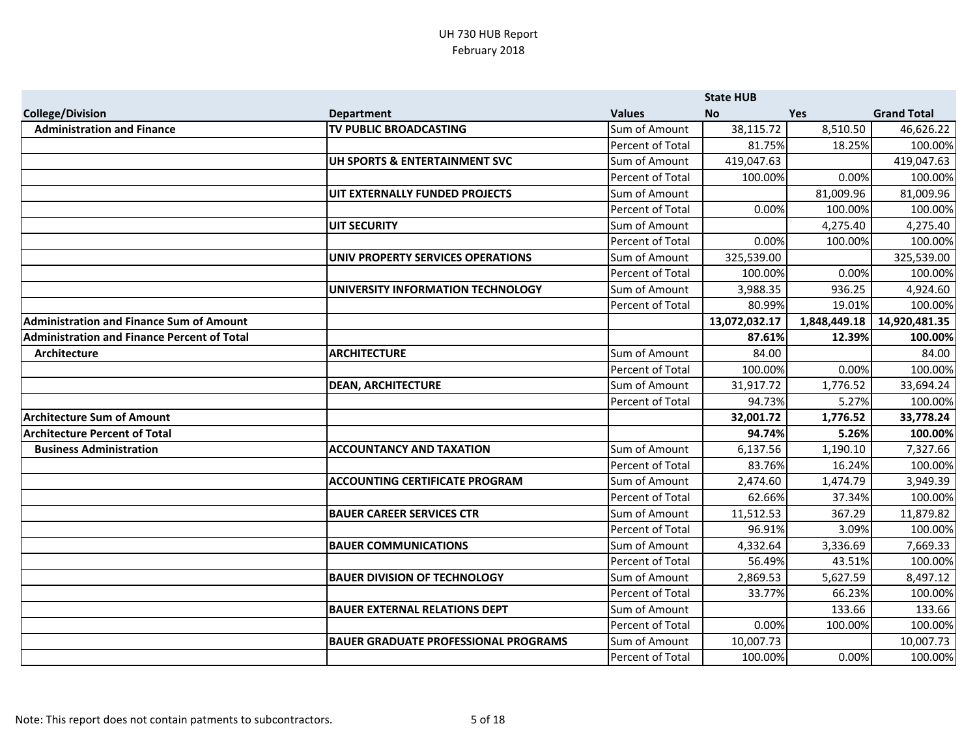|                                                    |                                             |                         | <b>State HUB</b> |              |                    |
|----------------------------------------------------|---------------------------------------------|-------------------------|------------------|--------------|--------------------|
| <b>College/Division</b>                            | <b>Department</b>                           | <b>Values</b>           | <b>No</b>        | <b>Yes</b>   | <b>Grand Total</b> |
| <b>Administration and Finance</b>                  | TV PUBLIC BROADCASTING                      | Sum of Amount           | 38,115.72        | 8,510.50     | 46,626.22          |
|                                                    |                                             | Percent of Total        | 81.75%           | 18.25%       | 100.00%            |
|                                                    | UH SPORTS & ENTERTAINMENT SVC               | Sum of Amount           | 419,047.63       |              | 419,047.63         |
|                                                    |                                             | Percent of Total        | 100.00%          | 0.00%        | 100.00%            |
|                                                    | UIT EXTERNALLY FUNDED PROJECTS              | Sum of Amount           |                  | 81,009.96    | 81,009.96          |
|                                                    |                                             | Percent of Total        | 0.00%            | 100.00%      | 100.00%            |
|                                                    | <b>UIT SECURITY</b>                         | Sum of Amount           |                  | 4,275.40     | 4,275.40           |
|                                                    |                                             | Percent of Total        | 0.00%            | 100.00%      | 100.00%            |
|                                                    | UNIV PROPERTY SERVICES OPERATIONS           | Sum of Amount           | 325,539.00       |              | 325,539.00         |
|                                                    |                                             | Percent of Total        | 100.00%          | 0.00%        | 100.00%            |
|                                                    | UNIVERSITY INFORMATION TECHNOLOGY           | Sum of Amount           | 3,988.35         | 936.25       | 4,924.60           |
|                                                    |                                             | Percent of Total        | 80.99%           | 19.01%       | 100.00%            |
| <b>Administration and Finance Sum of Amount</b>    |                                             |                         | 13,072,032.17    | 1,848,449.18 | 14,920,481.35      |
| <b>Administration and Finance Percent of Total</b> |                                             |                         | 87.61%           | 12.39%       | 100.00%            |
| Architecture                                       | <b>ARCHITECTURE</b>                         | Sum of Amount           | 84.00            |              | 84.00              |
|                                                    |                                             | Percent of Total        | 100.00%          | 0.00%        | 100.00%            |
|                                                    | <b>DEAN, ARCHITECTURE</b>                   | Sum of Amount           | 31,917.72        | 1,776.52     | 33,694.24          |
|                                                    |                                             | Percent of Total        | 94.73%           | 5.27%        | 100.00%            |
| <b>Architecture Sum of Amount</b>                  |                                             |                         | 32,001.72        | 1,776.52     | 33,778.24          |
| <b>Architecture Percent of Total</b>               |                                             |                         | 94.74%           | 5.26%        | 100.00%            |
| <b>Business Administration</b>                     | <b>ACCOUNTANCY AND TAXATION</b>             | Sum of Amount           | 6,137.56         | 1,190.10     | 7,327.66           |
|                                                    |                                             | Percent of Total        | 83.76%           | 16.24%       | 100.00%            |
|                                                    | <b>ACCOUNTING CERTIFICATE PROGRAM</b>       | Sum of Amount           | 2,474.60         | 1,474.79     | 3,949.39           |
|                                                    |                                             | Percent of Total        | 62.66%           | 37.34%       | 100.00%            |
|                                                    | <b>BAUER CAREER SERVICES CTR</b>            | Sum of Amount           | 11,512.53        | 367.29       | 11,879.82          |
|                                                    |                                             | <b>Percent of Total</b> | 96.91%           | 3.09%        | 100.00%            |
|                                                    | <b>BAUER COMMUNICATIONS</b>                 | Sum of Amount           | 4,332.64         | 3,336.69     | 7,669.33           |
|                                                    |                                             | Percent of Total        | 56.49%           | 43.51%       | 100.00%            |
|                                                    | <b>BAUER DIVISION OF TECHNOLOGY</b>         | Sum of Amount           | 2,869.53         | 5,627.59     | 8,497.12           |
|                                                    |                                             | Percent of Total        | 33.77%           | 66.23%       | 100.00%            |
|                                                    | <b>BAUER EXTERNAL RELATIONS DEPT</b>        | Sum of Amount           |                  | 133.66       | 133.66             |
|                                                    |                                             | Percent of Total        | 0.00%            | 100.00%      | 100.00%            |
|                                                    | <b>BAUER GRADUATE PROFESSIONAL PROGRAMS</b> | Sum of Amount           | 10,007.73        |              | 10,007.73          |
|                                                    |                                             | Percent of Total        | 100.00%          | 0.00%        | 100.00%            |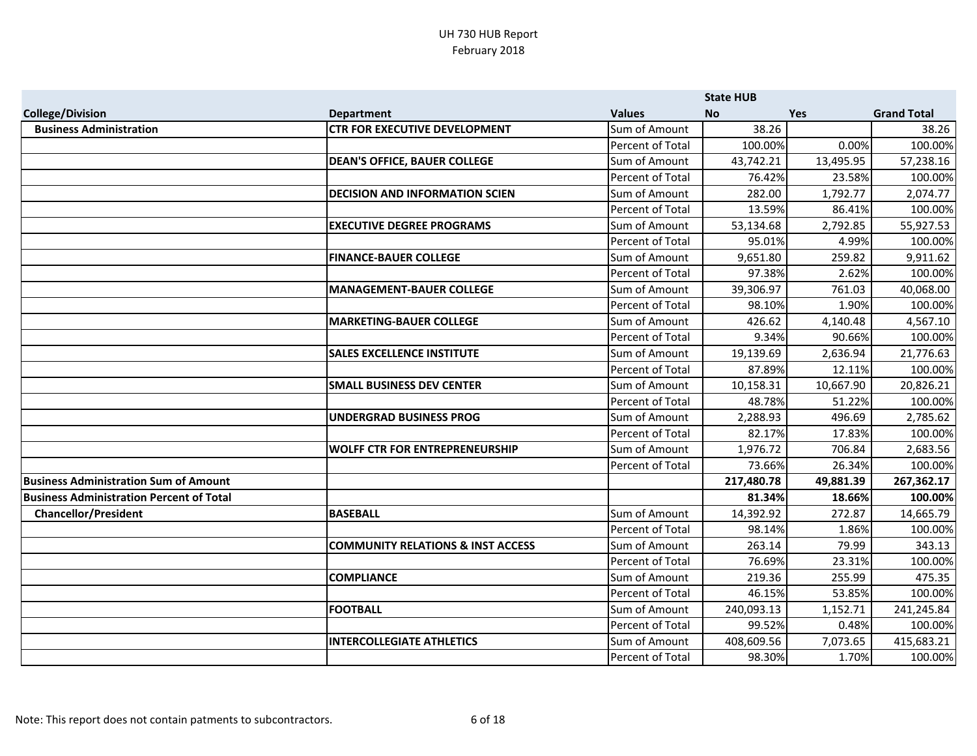|                                                 |                                              |                  | <b>State HUB</b> |            |                    |
|-------------------------------------------------|----------------------------------------------|------------------|------------------|------------|--------------------|
| <b>College/Division</b>                         | <b>Department</b>                            | <b>Values</b>    | <b>No</b>        | <b>Yes</b> | <b>Grand Total</b> |
| <b>Business Administration</b>                  | <b>CTR FOR EXECUTIVE DEVELOPMENT</b>         | Sum of Amount    | 38.26            |            | 38.26              |
|                                                 |                                              | Percent of Total | 100.00%          | 0.00%      | 100.00%            |
|                                                 | <b>DEAN'S OFFICE, BAUER COLLEGE</b>          | Sum of Amount    | 43,742.21        | 13,495.95  | 57,238.16          |
|                                                 |                                              | Percent of Total | 76.42%           | 23.58%     | 100.00%            |
|                                                 | <b>DECISION AND INFORMATION SCIEN</b>        | Sum of Amount    | 282.00           | 1,792.77   | 2,074.77           |
|                                                 |                                              | Percent of Total | 13.59%           | 86.41%     | 100.00%            |
|                                                 | <b>EXECUTIVE DEGREE PROGRAMS</b>             | Sum of Amount    | 53,134.68        | 2,792.85   | 55,927.53          |
|                                                 |                                              | Percent of Total | 95.01%           | 4.99%      | 100.00%            |
|                                                 | <b>FINANCE-BAUER COLLEGE</b>                 | Sum of Amount    | 9,651.80         | 259.82     | 9,911.62           |
|                                                 |                                              | Percent of Total | 97.38%           | 2.62%      | 100.00%            |
|                                                 | MANAGEMENT-BAUER COLLEGE                     | Sum of Amount    | 39,306.97        | 761.03     | 40,068.00          |
|                                                 |                                              | Percent of Total | 98.10%           | 1.90%      | 100.00%            |
|                                                 | <b>MARKETING-BAUER COLLEGE</b>               | Sum of Amount    | 426.62           | 4,140.48   | 4,567.10           |
|                                                 |                                              | Percent of Total | 9.34%            | 90.66%     | 100.00%            |
|                                                 | <b>SALES EXCELLENCE INSTITUTE</b>            | Sum of Amount    | 19,139.69        | 2,636.94   | 21,776.63          |
|                                                 |                                              | Percent of Total | 87.89%           | 12.11%     | 100.00%            |
|                                                 | <b>SMALL BUSINESS DEV CENTER</b>             | Sum of Amount    | 10,158.31        | 10,667.90  | 20,826.21          |
|                                                 |                                              | Percent of Total | 48.78%           | 51.22%     | 100.00%            |
|                                                 | UNDERGRAD BUSINESS PROG                      | Sum of Amount    | 2,288.93         | 496.69     | 2,785.62           |
|                                                 |                                              | Percent of Total | 82.17%           | 17.83%     | 100.00%            |
|                                                 | <b>WOLFF CTR FOR ENTREPRENEURSHIP</b>        | Sum of Amount    | 1,976.72         | 706.84     | 2,683.56           |
|                                                 |                                              | Percent of Total | 73.66%           | 26.34%     | 100.00%            |
| <b>Business Administration Sum of Amount</b>    |                                              |                  | 217,480.78       | 49,881.39  | 267,362.17         |
| <b>Business Administration Percent of Total</b> |                                              |                  | 81.34%           | 18.66%     | 100.00%            |
| <b>Chancellor/President</b>                     | BASEBALL                                     | Sum of Amount    | 14,392.92        | 272.87     | 14,665.79          |
|                                                 |                                              | Percent of Total | 98.14%           | 1.86%      | 100.00%            |
|                                                 | <b>COMMUNITY RELATIONS &amp; INST ACCESS</b> | Sum of Amount    | 263.14           | 79.99      | 343.13             |
|                                                 |                                              | Percent of Total | 76.69%           | 23.31%     | 100.00%            |
|                                                 | <b>COMPLIANCE</b>                            | Sum of Amount    | 219.36           | 255.99     | 475.35             |
|                                                 |                                              | Percent of Total | 46.15%           | 53.85%     | 100.00%            |
|                                                 | <b>FOOTBALL</b>                              | Sum of Amount    | 240,093.13       | 1,152.71   | 241,245.84         |
|                                                 |                                              | Percent of Total | 99.52%           | 0.48%      | 100.00%            |
|                                                 | <b>INTERCOLLEGIATE ATHLETICS</b>             | Sum of Amount    | 408,609.56       | 7,073.65   | 415,683.21         |
|                                                 |                                              | Percent of Total | 98.30%           | 1.70%      | 100.00%            |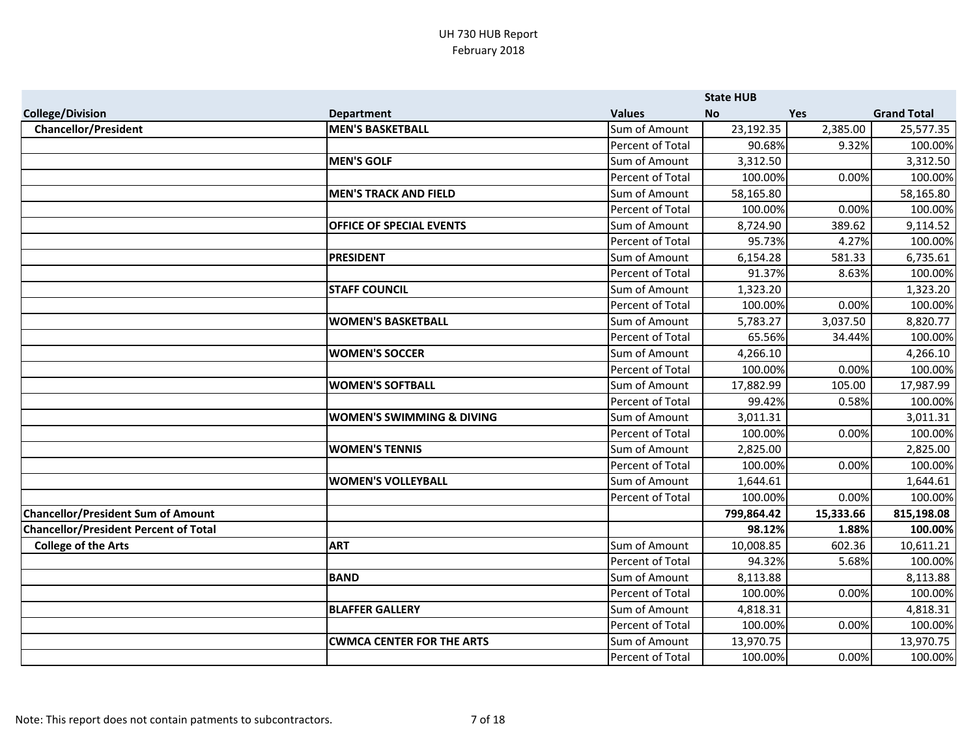|                                              |                                      |                         | <b>State HUB</b> |            |                    |
|----------------------------------------------|--------------------------------------|-------------------------|------------------|------------|--------------------|
| <b>College/Division</b>                      | <b>Department</b>                    | <b>Values</b>           | <b>No</b>        | <b>Yes</b> | <b>Grand Total</b> |
| <b>Chancellor/President</b>                  | <b>MEN'S BASKETBALL</b>              | Sum of Amount           | 23,192.35        | 2,385.00   | 25,577.35          |
|                                              |                                      | Percent of Total        | 90.68%           | 9.32%      | 100.00%            |
|                                              | <b>MEN'S GOLF</b>                    | Sum of Amount           | 3,312.50         |            | 3,312.50           |
|                                              |                                      | Percent of Total        | 100.00%          | 0.00%      | 100.00%            |
|                                              | <b>MEN'S TRACK AND FIELD</b>         | Sum of Amount           | 58,165.80        |            | 58,165.80          |
|                                              |                                      | Percent of Total        | 100.00%          | 0.00%      | 100.00%            |
|                                              | <b>OFFICE OF SPECIAL EVENTS</b>      | Sum of Amount           | 8,724.90         | 389.62     | 9,114.52           |
|                                              |                                      | Percent of Total        | 95.73%           | 4.27%      | 100.00%            |
|                                              | <b>PRESIDENT</b>                     | Sum of Amount           | 6,154.28         | 581.33     | 6,735.61           |
|                                              |                                      | <b>Percent of Total</b> | 91.37%           | 8.63%      | 100.00%            |
|                                              | <b>STAFF COUNCIL</b>                 | Sum of Amount           | 1,323.20         |            | 1,323.20           |
|                                              |                                      | Percent of Total        | 100.00%          | 0.00%      | 100.00%            |
|                                              | <b>WOMEN'S BASKETBALL</b>            | Sum of Amount           | 5,783.27         | 3,037.50   | 8,820.77           |
|                                              |                                      | Percent of Total        | 65.56%           | 34.44%     | 100.00%            |
|                                              | <b>WOMEN'S SOCCER</b>                | Sum of Amount           | 4,266.10         |            | 4,266.10           |
|                                              |                                      | Percent of Total        | 100.00%          | 0.00%      | 100.00%            |
|                                              | <b>WOMEN'S SOFTBALL</b>              | Sum of Amount           | 17,882.99        | 105.00     | 17,987.99          |
|                                              |                                      | Percent of Total        | 99.42%           | 0.58%      | 100.00%            |
|                                              | <b>WOMEN'S SWIMMING &amp; DIVING</b> | Sum of Amount           | 3,011.31         |            | 3,011.31           |
|                                              |                                      | Percent of Total        | 100.00%          | 0.00%      | 100.00%            |
|                                              | <b>WOMEN'S TENNIS</b>                | Sum of Amount           | 2,825.00         |            | 2,825.00           |
|                                              |                                      | Percent of Total        | 100.00%          | 0.00%      | 100.00%            |
|                                              | <b>WOMEN'S VOLLEYBALL</b>            | Sum of Amount           | 1,644.61         |            | 1,644.61           |
|                                              |                                      | Percent of Total        | 100.00%          | 0.00%      | 100.00%            |
| <b>Chancellor/President Sum of Amount</b>    |                                      |                         | 799,864.42       | 15,333.66  | 815,198.08         |
| <b>Chancellor/President Percent of Total</b> |                                      |                         | 98.12%           | 1.88%      | 100.00%            |
| <b>College of the Arts</b>                   | <b>ART</b>                           | Sum of Amount           | 10,008.85        | 602.36     | 10,611.21          |
|                                              |                                      | Percent of Total        | 94.32%           | 5.68%      | 100.00%            |
|                                              | <b>BAND</b>                          | Sum of Amount           | 8,113.88         |            | 8,113.88           |
|                                              |                                      | Percent of Total        | 100.00%          | 0.00%      | 100.00%            |
|                                              | <b>BLAFFER GALLERY</b>               | Sum of Amount           | 4,818.31         |            | 4,818.31           |
|                                              |                                      | Percent of Total        | 100.00%          | 0.00%      | 100.00%            |
|                                              | <b>CWMCA CENTER FOR THE ARTS</b>     | Sum of Amount           | 13,970.75        |            | 13,970.75          |
|                                              |                                      | Percent of Total        | 100.00%          | 0.00%      | 100.00%            |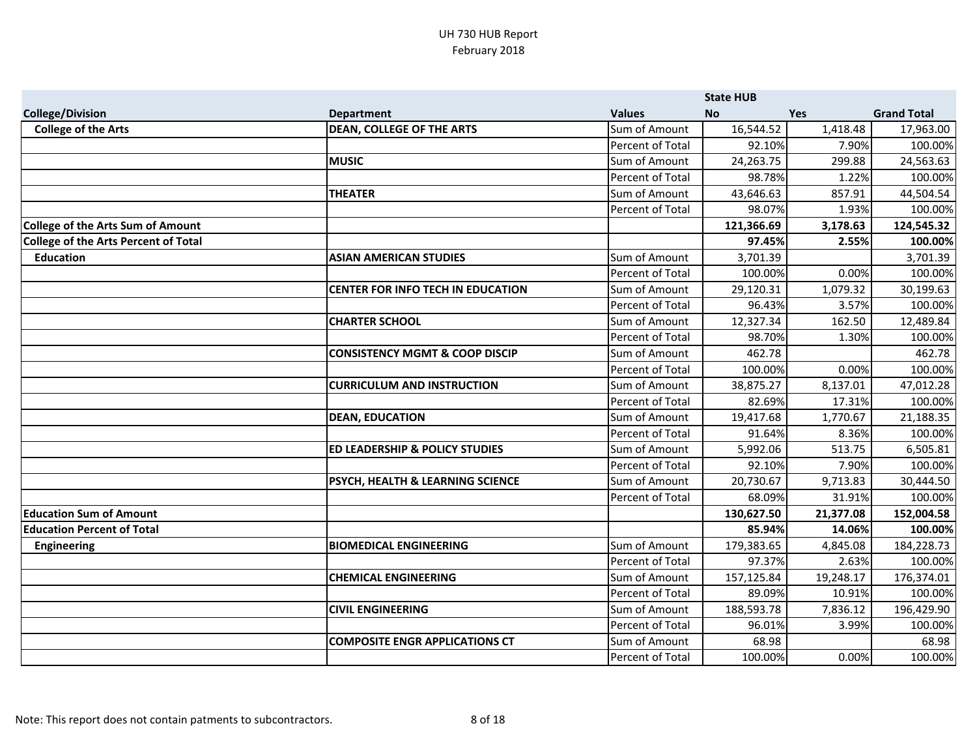|                                             |                                           |                         | <b>State HUB</b> |            |                    |
|---------------------------------------------|-------------------------------------------|-------------------------|------------------|------------|--------------------|
| <b>College/Division</b>                     | <b>Department</b>                         | <b>Values</b>           | <b>No</b>        | <b>Yes</b> | <b>Grand Total</b> |
| <b>College of the Arts</b>                  | <b>DEAN, COLLEGE OF THE ARTS</b>          | Sum of Amount           | 16,544.52        | 1,418.48   | 17,963.00          |
|                                             |                                           | Percent of Total        | 92.10%           | 7.90%      | 100.00%            |
|                                             | <b>MUSIC</b>                              | Sum of Amount           | 24,263.75        | 299.88     | 24,563.63          |
|                                             |                                           | Percent of Total        | 98.78%           | 1.22%      | 100.00%            |
|                                             | <b>THEATER</b>                            | Sum of Amount           | 43,646.63        | 857.91     | 44,504.54          |
|                                             |                                           | Percent of Total        | 98.07%           | 1.93%      | 100.00%            |
| <b>College of the Arts Sum of Amount</b>    |                                           |                         | 121,366.69       | 3,178.63   | 124,545.32         |
| <b>College of the Arts Percent of Total</b> |                                           |                         | 97.45%           | 2.55%      | 100.00%            |
| <b>Education</b>                            | <b>ASIAN AMERICAN STUDIES</b>             | Sum of Amount           | 3,701.39         |            | 3,701.39           |
|                                             |                                           | Percent of Total        | 100.00%          | 0.00%      | 100.00%            |
|                                             | <b>CENTER FOR INFO TECH IN EDUCATION</b>  | Sum of Amount           | 29,120.31        | 1,079.32   | 30,199.63          |
|                                             |                                           | <b>Percent of Total</b> | 96.43%           | 3.57%      | 100.00%            |
|                                             | <b>CHARTER SCHOOL</b>                     | Sum of Amount           | 12,327.34        | 162.50     | 12,489.84          |
|                                             |                                           | Percent of Total        | 98.70%           | 1.30%      | 100.00%            |
|                                             | <b>CONSISTENCY MGMT &amp; COOP DISCIP</b> | Sum of Amount           | 462.78           |            | 462.78             |
|                                             |                                           | <b>Percent of Total</b> | 100.00%          | 0.00%      | 100.00%            |
|                                             | <b>CURRICULUM AND INSTRUCTION</b>         | Sum of Amount           | 38,875.27        | 8,137.01   | 47,012.28          |
|                                             |                                           | Percent of Total        | 82.69%           | 17.31%     | 100.00%            |
|                                             | <b>DEAN, EDUCATION</b>                    | Sum of Amount           | 19,417.68        | 1,770.67   | 21,188.35          |
|                                             |                                           | Percent of Total        | 91.64%           | 8.36%      | 100.00%            |
|                                             | <b>ED LEADERSHIP &amp; POLICY STUDIES</b> | Sum of Amount           | 5,992.06         | 513.75     | 6,505.81           |
|                                             |                                           | Percent of Total        | 92.10%           | 7.90%      | 100.00%            |
|                                             | PSYCH, HEALTH & LEARNING SCIENCE          | Sum of Amount           | 20,730.67        | 9,713.83   | 30,444.50          |
|                                             |                                           | Percent of Total        | 68.09%           | 31.91%     | 100.00%            |
| <b>Education Sum of Amount</b>              |                                           |                         | 130,627.50       | 21,377.08  | 152,004.58         |
| <b>Education Percent of Total</b>           |                                           |                         | 85.94%           | 14.06%     | 100.00%            |
| <b>Engineering</b>                          | <b>BIOMEDICAL ENGINEERING</b>             | Sum of Amount           | 179,383.65       | 4,845.08   | 184,228.73         |
|                                             |                                           | Percent of Total        | 97.37%           | 2.63%      | 100.00%            |
|                                             | <b>CHEMICAL ENGINEERING</b>               | Sum of Amount           | 157,125.84       | 19,248.17  | 176,374.01         |
|                                             |                                           | Percent of Total        | 89.09%           | 10.91%     | 100.00%            |
|                                             | <b>CIVIL ENGINEERING</b>                  | Sum of Amount           | 188,593.78       | 7,836.12   | 196,429.90         |
|                                             |                                           | Percent of Total        | 96.01%           | 3.99%      | 100.00%            |
|                                             | <b>COMPOSITE ENGR APPLICATIONS CT</b>     | Sum of Amount           | 68.98            |            | 68.98              |
|                                             |                                           | Percent of Total        | 100.00%          | 0.00%      | 100.00%            |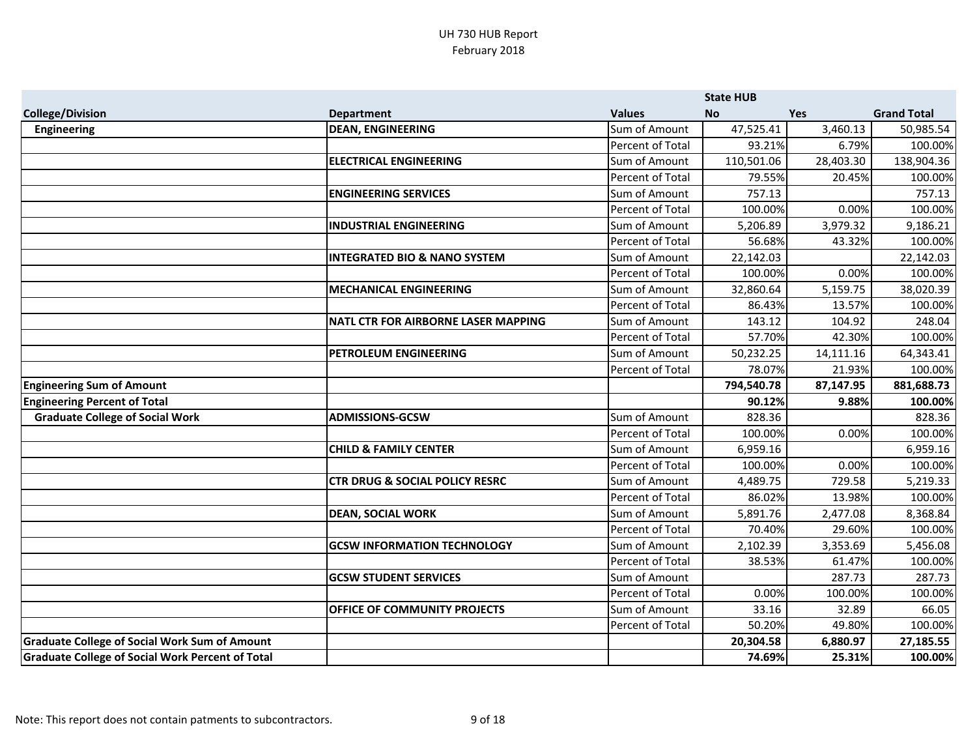|                                                         |                                            |                         | <b>State HUB</b> |            |                    |
|---------------------------------------------------------|--------------------------------------------|-------------------------|------------------|------------|--------------------|
| <b>College/Division</b>                                 | <b>Department</b>                          | <b>Values</b>           | <b>No</b>        | <b>Yes</b> | <b>Grand Total</b> |
| <b>Engineering</b>                                      | <b>DEAN, ENGINEERING</b>                   | Sum of Amount           | 47,525.41        | 3,460.13   | 50,985.54          |
|                                                         |                                            | Percent of Total        | 93.21%           | 6.79%      | 100.00%            |
|                                                         | <b>ELECTRICAL ENGINEERING</b>              | Sum of Amount           | 110,501.06       | 28,403.30  | 138,904.36         |
|                                                         |                                            | Percent of Total        | 79.55%           | 20.45%     | 100.00%            |
|                                                         | <b>ENGINEERING SERVICES</b>                | Sum of Amount           | 757.13           |            | 757.13             |
|                                                         |                                            | Percent of Total        | 100.00%          | 0.00%      | 100.00%            |
|                                                         | <b>INDUSTRIAL ENGINEERING</b>              | Sum of Amount           | 5,206.89         | 3,979.32   | 9,186.21           |
|                                                         |                                            | <b>Percent of Total</b> | 56.68%           | 43.32%     | 100.00%            |
|                                                         | <b>INTEGRATED BIO &amp; NANO SYSTEM</b>    | Sum of Amount           | 22,142.03        |            | 22,142.03          |
|                                                         |                                            | Percent of Total        | 100.00%          | 0.00%      | 100.00%            |
|                                                         | <b>MECHANICAL ENGINEERING</b>              | Sum of Amount           | 32,860.64        | 5,159.75   | 38,020.39          |
|                                                         |                                            | Percent of Total        | 86.43%           | 13.57%     | 100.00%            |
|                                                         | <b>NATL CTR FOR AIRBORNE LASER MAPPING</b> | Sum of Amount           | 143.12           | 104.92     | 248.04             |
|                                                         |                                            | Percent of Total        | 57.70%           | 42.30%     | 100.00%            |
|                                                         | PETROLEUM ENGINEERING                      | Sum of Amount           | 50,232.25        | 14,111.16  | 64,343.41          |
|                                                         |                                            | Percent of Total        | 78.07%           | 21.93%     | 100.00%            |
| <b>Engineering Sum of Amount</b>                        |                                            |                         | 794,540.78       | 87,147.95  | 881,688.73         |
| <b>Engineering Percent of Total</b>                     |                                            |                         | 90.12%           | 9.88%      | 100.00%            |
| <b>Graduate College of Social Work</b>                  | <b>ADMISSIONS-GCSW</b>                     | Sum of Amount           | 828.36           |            | 828.36             |
|                                                         |                                            | Percent of Total        | 100.00%          | 0.00%      | 100.00%            |
|                                                         | <b>CHILD &amp; FAMILY CENTER</b>           | Sum of Amount           | 6,959.16         |            | 6,959.16           |
|                                                         |                                            | Percent of Total        | 100.00%          | 0.00%      | 100.00%            |
|                                                         | <b>CTR DRUG &amp; SOCIAL POLICY RESRC</b>  | Sum of Amount           | 4,489.75         | 729.58     | 5,219.33           |
|                                                         |                                            | Percent of Total        | 86.02%           | 13.98%     | 100.00%            |
|                                                         | <b>DEAN, SOCIAL WORK</b>                   | Sum of Amount           | 5,891.76         | 2,477.08   | 8,368.84           |
|                                                         |                                            | Percent of Total        | 70.40%           | 29.60%     | 100.00%            |
|                                                         | <b>GCSW INFORMATION TECHNOLOGY</b>         | Sum of Amount           | 2,102.39         | 3,353.69   | 5,456.08           |
|                                                         |                                            | Percent of Total        | 38.53%           | 61.47%     | 100.00%            |
|                                                         | <b>GCSW STUDENT SERVICES</b>               | Sum of Amount           |                  | 287.73     | 287.73             |
|                                                         |                                            | Percent of Total        | 0.00%            | 100.00%    | 100.00%            |
|                                                         | OFFICE OF COMMUNITY PROJECTS               | Sum of Amount           | 33.16            | 32.89      | 66.05              |
|                                                         |                                            | Percent of Total        | 50.20%           | 49.80%     | 100.00%            |
| <b>Graduate College of Social Work Sum of Amount</b>    |                                            |                         | 20,304.58        | 6,880.97   | 27,185.55          |
| <b>Graduate College of Social Work Percent of Total</b> |                                            |                         |                  |            |                    |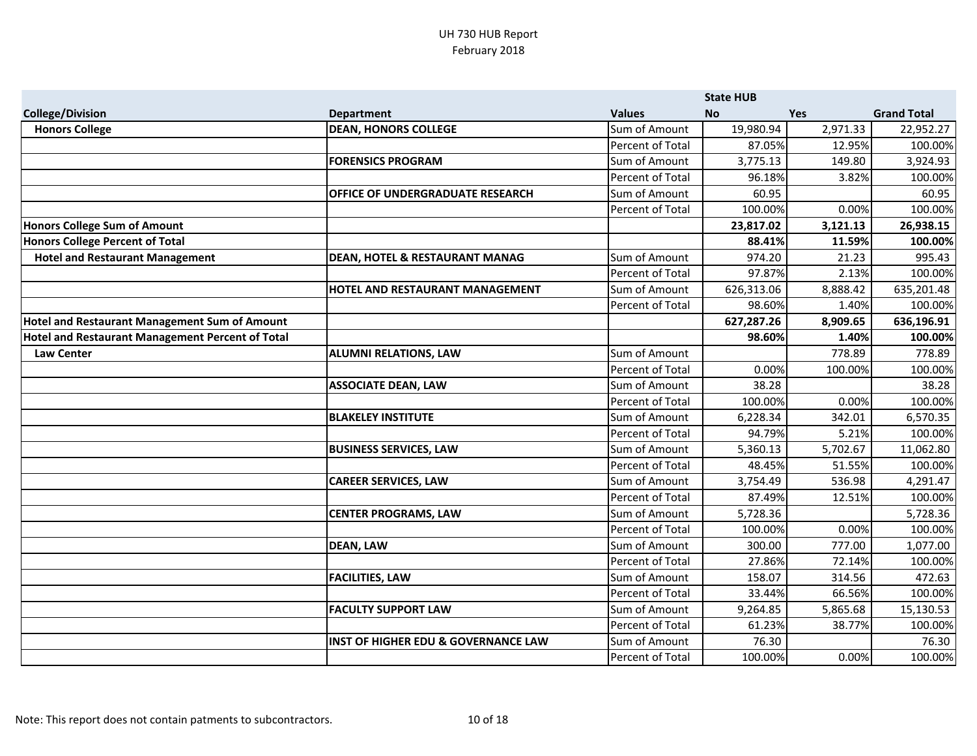|                                                  |                                                |                  | <b>State HUB</b> |            |                    |
|--------------------------------------------------|------------------------------------------------|------------------|------------------|------------|--------------------|
| <b>College/Division</b>                          | <b>Department</b>                              | <b>Values</b>    | <b>No</b>        | <b>Yes</b> | <b>Grand Total</b> |
| <b>Honors College</b>                            | <b>DEAN, HONORS COLLEGE</b>                    | Sum of Amount    | 19,980.94        | 2,971.33   | 22,952.27          |
|                                                  |                                                | Percent of Total | 87.05%           | 12.95%     | 100.00%            |
|                                                  | <b>FORENSICS PROGRAM</b>                       | Sum of Amount    | 3,775.13         | 149.80     | 3,924.93           |
|                                                  |                                                | Percent of Total | 96.18%           | 3.82%      | 100.00%            |
|                                                  | <b>OFFICE OF UNDERGRADUATE RESEARCH</b>        | Sum of Amount    | 60.95            |            | 60.95              |
|                                                  |                                                | Percent of Total | 100.00%          | 0.00%      | 100.00%            |
| <b>Honors College Sum of Amount</b>              |                                                |                  | 23,817.02        | 3,121.13   | 26,938.15          |
| Honors College Percent of Total                  |                                                |                  | 88.41%           | 11.59%     | 100.00%            |
| <b>Hotel and Restaurant Management</b>           | <b>DEAN, HOTEL &amp; RESTAURANT MANAG</b>      | Sum of Amount    | 974.20           | 21.23      | 995.43             |
|                                                  |                                                | Percent of Total | 97.87%           | 2.13%      | 100.00%            |
|                                                  | <b>HOTEL AND RESTAURANT MANAGEMENT</b>         | Sum of Amount    | 626,313.06       | 8,888.42   | 635,201.48         |
|                                                  |                                                | Percent of Total | 98.60%           | 1.40%      | 100.00%            |
| Hotel and Restaurant Management Sum of Amount    |                                                |                  | 627,287.26       | 8,909.65   | 636,196.91         |
| Hotel and Restaurant Management Percent of Total |                                                |                  | 98.60%           | 1.40%      | 100.00%            |
| <b>Law Center</b>                                | <b>ALUMNI RELATIONS, LAW</b>                   | Sum of Amount    |                  | 778.89     | 778.89             |
|                                                  |                                                | Percent of Total | 0.00%            | 100.00%    | 100.00%            |
|                                                  | <b>ASSOCIATE DEAN, LAW</b>                     | Sum of Amount    | 38.28            |            | 38.28              |
|                                                  |                                                | Percent of Total | 100.00%          | 0.00%      | 100.00%            |
|                                                  | <b>BLAKELEY INSTITUTE</b>                      | Sum of Amount    | 6,228.34         | 342.01     | 6,570.35           |
|                                                  |                                                | Percent of Total | 94.79%           | 5.21%      | 100.00%            |
|                                                  | <b>BUSINESS SERVICES, LAW</b>                  | Sum of Amount    | 5,360.13         | 5,702.67   | 11,062.80          |
|                                                  |                                                | Percent of Total | 48.45%           | 51.55%     | 100.00%            |
|                                                  | <b>CAREER SERVICES, LAW</b>                    | Sum of Amount    | 3,754.49         | 536.98     | 4,291.47           |
|                                                  |                                                | Percent of Total | 87.49%           | 12.51%     | 100.00%            |
|                                                  | <b>CENTER PROGRAMS, LAW</b>                    | Sum of Amount    | 5,728.36         |            | 5,728.36           |
|                                                  |                                                | Percent of Total | 100.00%          | 0.00%      | 100.00%            |
|                                                  | <b>DEAN, LAW</b>                               | Sum of Amount    | 300.00           | 777.00     | 1,077.00           |
|                                                  |                                                | Percent of Total | 27.86%           | 72.14%     | 100.00%            |
|                                                  | <b>FACILITIES, LAW</b>                         | Sum of Amount    | 158.07           | 314.56     | 472.63             |
|                                                  |                                                | Percent of Total | 33.44%           | 66.56%     | 100.00%            |
|                                                  | <b>FACULTY SUPPORT LAW</b>                     | Sum of Amount    | 9,264.85         | 5,865.68   | 15,130.53          |
|                                                  |                                                | Percent of Total | 61.23%           | 38.77%     | 100.00%            |
|                                                  | <b>INST OF HIGHER EDU &amp; GOVERNANCE LAW</b> | Sum of Amount    | 76.30            |            | 76.30              |
|                                                  |                                                | Percent of Total | 100.00%          | 0.00%      | 100.00%            |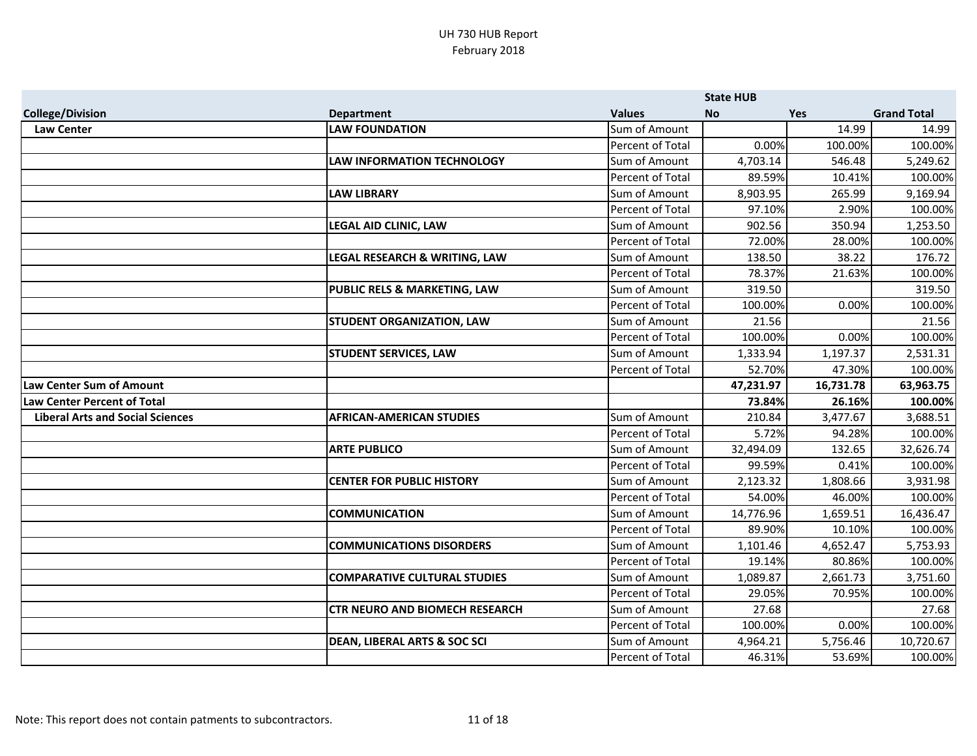|                                         |                                         |                         | <b>State HUB</b> |            |                    |
|-----------------------------------------|-----------------------------------------|-------------------------|------------------|------------|--------------------|
| <b>College/Division</b>                 | <b>Department</b>                       | <b>Values</b>           | <b>No</b>        | <b>Yes</b> | <b>Grand Total</b> |
| <b>Law Center</b>                       | <b>LAW FOUNDATION</b>                   | Sum of Amount           |                  | 14.99      | 14.99              |
|                                         |                                         | Percent of Total        | 0.00%            | 100.00%    | 100.00%            |
|                                         | <b>LAW INFORMATION TECHNOLOGY</b>       | Sum of Amount           | 4,703.14         | 546.48     | 5,249.62           |
|                                         |                                         | Percent of Total        | 89.59%           | 10.41%     | 100.00%            |
|                                         | <b>LAW LIBRARY</b>                      | Sum of Amount           | 8,903.95         | 265.99     | 9,169.94           |
|                                         |                                         | Percent of Total        | 97.10%           | 2.90%      | 100.00%            |
|                                         | <b>LEGAL AID CLINIC, LAW</b>            | Sum of Amount           | 902.56           | 350.94     | 1,253.50           |
|                                         |                                         | Percent of Total        | 72.00%           | 28.00%     | 100.00%            |
|                                         | LEGAL RESEARCH & WRITING, LAW           | Sum of Amount           | 138.50           | 38.22      | 176.72             |
|                                         |                                         | Percent of Total        | 78.37%           | 21.63%     | 100.00%            |
|                                         | <b>PUBLIC RELS &amp; MARKETING, LAW</b> | Sum of Amount           | 319.50           |            | 319.50             |
|                                         |                                         | Percent of Total        | 100.00%          | 0.00%      | 100.00%            |
|                                         | <b>STUDENT ORGANIZATION, LAW</b>        | Sum of Amount           | 21.56            |            | 21.56              |
|                                         |                                         | Percent of Total        | 100.00%          | 0.00%      | 100.00%            |
|                                         | <b>STUDENT SERVICES, LAW</b>            | Sum of Amount           | 1,333.94         | 1,197.37   | 2,531.31           |
|                                         |                                         | Percent of Total        | 52.70%           | 47.30%     | 100.00%            |
| <b>Law Center Sum of Amount</b>         |                                         |                         | 47,231.97        | 16,731.78  | 63,963.75          |
| <b>Law Center Percent of Total</b>      |                                         |                         | 73.84%           | 26.16%     | 100.00%            |
| <b>Liberal Arts and Social Sciences</b> | <b>AFRICAN-AMERICAN STUDIES</b>         | Sum of Amount           | 210.84           | 3,477.67   | 3,688.51           |
|                                         |                                         | Percent of Total        | 5.72%            | 94.28%     | 100.00%            |
|                                         | <b>ARTE PUBLICO</b>                     | Sum of Amount           | 32,494.09        | 132.65     | 32,626.74          |
|                                         |                                         | Percent of Total        | 99.59%           | 0.41%      | 100.00%            |
|                                         | <b>CENTER FOR PUBLIC HISTORY</b>        | Sum of Amount           | 2,123.32         | 1,808.66   | 3,931.98           |
|                                         |                                         | Percent of Total        | 54.00%           | 46.00%     | 100.00%            |
|                                         | <b>COMMUNICATION</b>                    | Sum of Amount           | 14,776.96        | 1,659.51   | 16,436.47          |
|                                         |                                         | Percent of Total        | 89.90%           | 10.10%     | 100.00%            |
|                                         | <b>COMMUNICATIONS DISORDERS</b>         | Sum of Amount           | 1,101.46         | 4,652.47   | 5,753.93           |
|                                         |                                         | <b>Percent of Total</b> | 19.14%           | 80.86%     | 100.00%            |
|                                         | <b>COMPARATIVE CULTURAL STUDIES</b>     | Sum of Amount           | 1,089.87         | 2,661.73   | 3,751.60           |
|                                         |                                         | Percent of Total        | 29.05%           | 70.95%     | 100.00%            |
|                                         | <b>CTR NEURO AND BIOMECH RESEARCH</b>   | Sum of Amount           | 27.68            |            | 27.68              |
|                                         |                                         | Percent of Total        | 100.00%          | 0.00%      | 100.00%            |
|                                         | <b>DEAN, LIBERAL ARTS &amp; SOC SCI</b> | Sum of Amount           | 4,964.21         | 5,756.46   | 10,720.67          |
|                                         |                                         | <b>Percent of Total</b> | 46.31%           | 53.69%     | 100.00%            |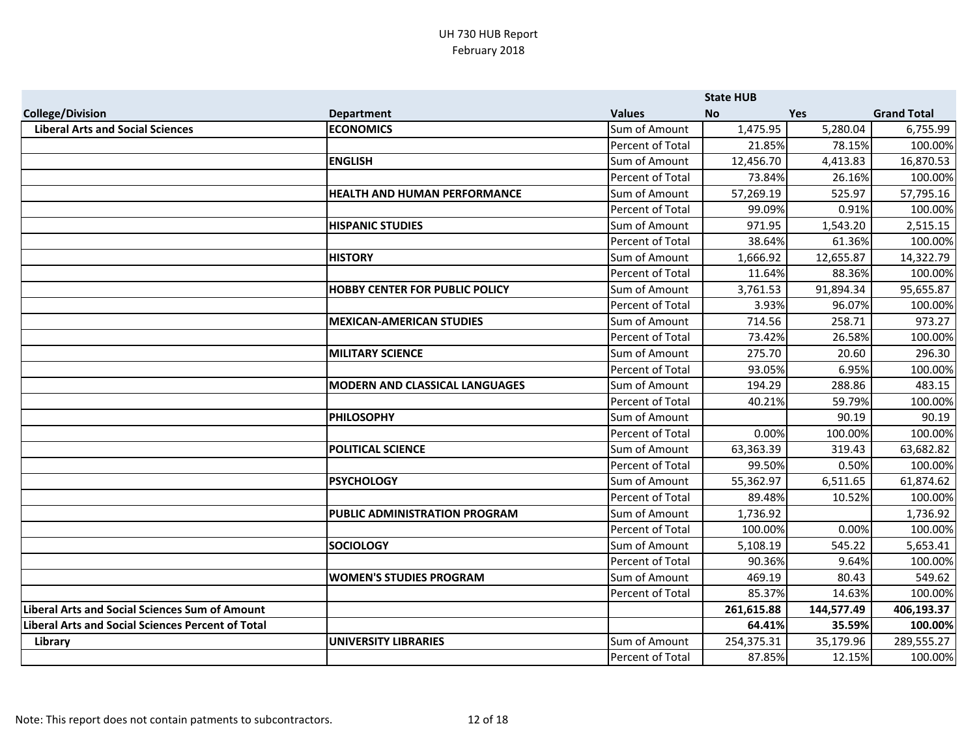|                                                          |                                       |                  | <b>State HUB</b> |            |                    |
|----------------------------------------------------------|---------------------------------------|------------------|------------------|------------|--------------------|
| <b>College/Division</b>                                  | <b>Department</b>                     | <b>Values</b>    | <b>No</b>        | <b>Yes</b> | <b>Grand Total</b> |
| <b>Liberal Arts and Social Sciences</b>                  | <b>ECONOMICS</b>                      | Sum of Amount    | 1,475.95         | 5,280.04   | 6,755.99           |
|                                                          |                                       | Percent of Total | 21.85%           | 78.15%     | 100.00%            |
|                                                          | <b>ENGLISH</b>                        | Sum of Amount    | 12,456.70        | 4,413.83   | 16,870.53          |
|                                                          |                                       | Percent of Total | 73.84%           | 26.16%     | 100.00%            |
|                                                          | <b>HEALTH AND HUMAN PERFORMANCE</b>   | Sum of Amount    | 57,269.19        | 525.97     | 57,795.16          |
|                                                          |                                       | Percent of Total | 99.09%           | 0.91%      | 100.00%            |
|                                                          | <b>HISPANIC STUDIES</b>               | Sum of Amount    | 971.95           | 1,543.20   | 2,515.15           |
|                                                          |                                       | Percent of Total | 38.64%           | 61.36%     | 100.00%            |
|                                                          | <b>HISTORY</b>                        | Sum of Amount    | 1,666.92         | 12,655.87  | 14,322.79          |
|                                                          |                                       | Percent of Total | 11.64%           | 88.36%     | 100.00%            |
|                                                          | <b>HOBBY CENTER FOR PUBLIC POLICY</b> | Sum of Amount    | 3,761.53         | 91,894.34  | 95,655.87          |
|                                                          |                                       | Percent of Total | 3.93%            | 96.07%     | 100.00%            |
|                                                          | <b>MEXICAN-AMERICAN STUDIES</b>       | Sum of Amount    | 714.56           | 258.71     | 973.27             |
|                                                          |                                       | Percent of Total | 73.42%           | 26.58%     | 100.00%            |
|                                                          | <b>MILITARY SCIENCE</b>               | Sum of Amount    | 275.70           | 20.60      | 296.30             |
|                                                          |                                       | Percent of Total | 93.05%           | 6.95%      | 100.00%            |
|                                                          | <b>MODERN AND CLASSICAL LANGUAGES</b> | Sum of Amount    | 194.29           | 288.86     | 483.15             |
|                                                          |                                       | Percent of Total | 40.21%           | 59.79%     | 100.00%            |
|                                                          | <b>PHILOSOPHY</b>                     | Sum of Amount    |                  | 90.19      | 90.19              |
|                                                          |                                       | Percent of Total | 0.00%            | 100.00%    | 100.00%            |
|                                                          | <b>POLITICAL SCIENCE</b>              | Sum of Amount    | 63,363.39        | 319.43     | 63,682.82          |
|                                                          |                                       | Percent of Total | 99.50%           | 0.50%      | 100.00%            |
|                                                          | <b>PSYCHOLOGY</b>                     | Sum of Amount    | 55,362.97        | 6,511.65   | 61,874.62          |
|                                                          |                                       | Percent of Total | 89.48%           | 10.52%     | 100.00%            |
|                                                          | PUBLIC ADMINISTRATION PROGRAM         | Sum of Amount    | 1,736.92         |            | 1,736.92           |
|                                                          |                                       | Percent of Total | 100.00%          | 0.00%      | 100.00%            |
|                                                          | <b>SOCIOLOGY</b>                      | Sum of Amount    | 5,108.19         | 545.22     | 5,653.41           |
|                                                          |                                       | Percent of Total | 90.36%           | 9.64%      | 100.00%            |
|                                                          | <b>WOMEN'S STUDIES PROGRAM</b>        | Sum of Amount    | 469.19           | 80.43      | 549.62             |
|                                                          |                                       | Percent of Total | 85.37%           | 14.63%     | 100.00%            |
| <b>Liberal Arts and Social Sciences Sum of Amount</b>    |                                       |                  | 261,615.88       | 144,577.49 | 406,193.37         |
| <b>Liberal Arts and Social Sciences Percent of Total</b> |                                       |                  | 64.41%           | 35.59%     | 100.00%            |
| Library                                                  | <b>UNIVERSITY LIBRARIES</b>           | Sum of Amount    | 254,375.31       | 35,179.96  | 289,555.27         |
|                                                          |                                       | Percent of Total | 87.85%           | 12.15%     | 100.00%            |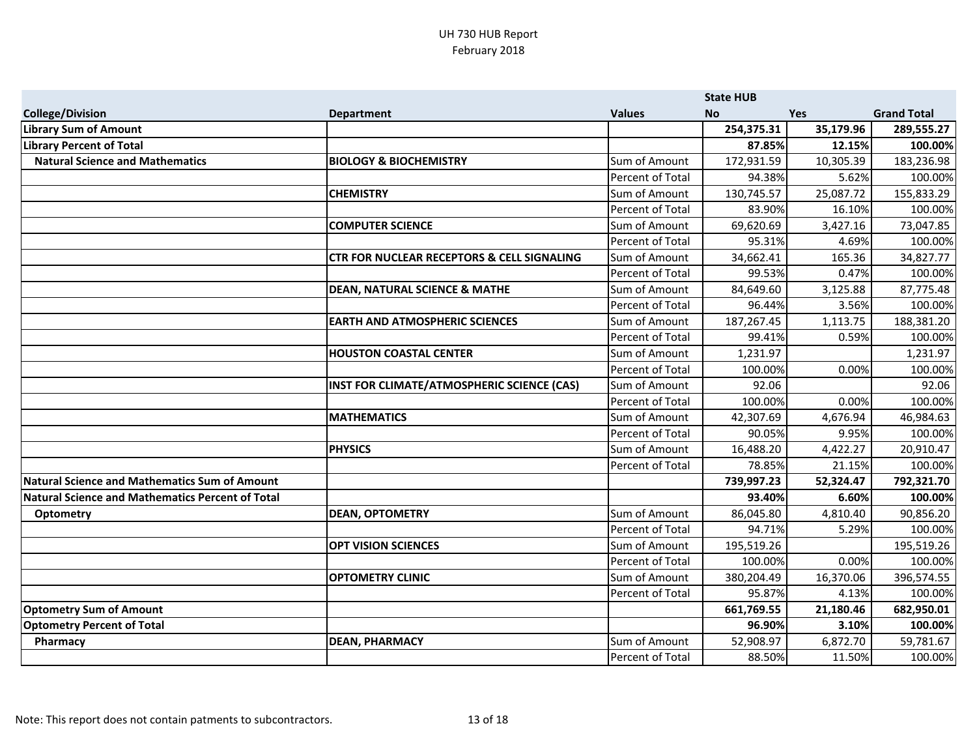|                                                  |                                                       |                  | <b>State HUB</b> |            |                    |
|--------------------------------------------------|-------------------------------------------------------|------------------|------------------|------------|--------------------|
| <b>College/Division</b>                          | <b>Department</b>                                     | <b>Values</b>    | <b>No</b>        | <b>Yes</b> | <b>Grand Total</b> |
| <b>Library Sum of Amount</b>                     |                                                       |                  | 254,375.31       | 35,179.96  | 289,555.27         |
| <b>Library Percent of Total</b>                  |                                                       |                  | 87.85%           | 12.15%     | 100.00%            |
| <b>Natural Science and Mathematics</b>           | <b>BIOLOGY &amp; BIOCHEMISTRY</b>                     | Sum of Amount    | 172,931.59       | 10,305.39  | 183,236.98         |
|                                                  |                                                       | Percent of Total | 94.38%           | 5.62%      | 100.00%            |
|                                                  | <b>CHEMISTRY</b>                                      | Sum of Amount    | 130,745.57       | 25,087.72  | 155,833.29         |
|                                                  |                                                       | Percent of Total | 83.90%           | 16.10%     | 100.00%            |
|                                                  | <b>COMPUTER SCIENCE</b>                               | Sum of Amount    | 69,620.69        | 3,427.16   | 73,047.85          |
|                                                  |                                                       | Percent of Total | 95.31%           | 4.69%      | 100.00%            |
|                                                  | <b>CTR FOR NUCLEAR RECEPTORS &amp; CELL SIGNALING</b> | Sum of Amount    | 34,662.41        | 165.36     | 34,827.77          |
|                                                  |                                                       | Percent of Total | 99.53%           | 0.47%      | 100.00%            |
|                                                  | <b>DEAN, NATURAL SCIENCE &amp; MATHE</b>              | Sum of Amount    | 84,649.60        | 3,125.88   | 87,775.48          |
|                                                  |                                                       | Percent of Total | 96.44%           | 3.56%      | 100.00%            |
|                                                  | <b>EARTH AND ATMOSPHERIC SCIENCES</b>                 | Sum of Amount    | 187,267.45       | 1,113.75   | 188,381.20         |
|                                                  |                                                       | Percent of Total | 99.41%           | 0.59%      | 100.00%            |
|                                                  | <b>HOUSTON COASTAL CENTER</b>                         | Sum of Amount    | 1,231.97         |            | 1,231.97           |
|                                                  |                                                       | Percent of Total | 100.00%          | 0.00%      | 100.00%            |
|                                                  | INST FOR CLIMATE/ATMOSPHERIC SCIENCE (CAS)            | Sum of Amount    | 92.06            |            | 92.06              |
|                                                  |                                                       | Percent of Total | 100.00%          | 0.00%      | 100.00%            |
|                                                  | <b>MATHEMATICS</b>                                    | Sum of Amount    | 42,307.69        | 4,676.94   | 46,984.63          |
|                                                  |                                                       | Percent of Total | 90.05%           | 9.95%      | 100.00%            |
|                                                  | <b>PHYSICS</b>                                        | Sum of Amount    | 16,488.20        | 4,422.27   | 20,910.47          |
|                                                  |                                                       | Percent of Total | 78.85%           | 21.15%     | 100.00%            |
| Natural Science and Mathematics Sum of Amount    |                                                       |                  | 739,997.23       | 52,324.47  | 792,321.70         |
| Natural Science and Mathematics Percent of Total |                                                       |                  | 93.40%           | 6.60%      | 100.00%            |
| <b>Optometry</b>                                 | <b>DEAN, OPTOMETRY</b>                                | Sum of Amount    | 86,045.80        | 4,810.40   | 90,856.20          |
|                                                  |                                                       | Percent of Total | 94.71%           | 5.29%      | 100.00%            |
|                                                  | <b>OPT VISION SCIENCES</b>                            | Sum of Amount    | 195,519.26       |            | 195,519.26         |
|                                                  |                                                       | Percent of Total | 100.00%          | 0.00%      | 100.00%            |
|                                                  | <b>OPTOMETRY CLINIC</b>                               | Sum of Amount    | 380,204.49       | 16,370.06  | 396,574.55         |
|                                                  |                                                       | Percent of Total | 95.87%           | 4.13%      | 100.00%            |
| <b>Optometry Sum of Amount</b>                   |                                                       |                  | 661,769.55       | 21,180.46  | 682,950.01         |
| <b>Optometry Percent of Total</b>                |                                                       |                  | 96.90%           | 3.10%      | 100.00%            |
| Pharmacy                                         | <b>DEAN, PHARMACY</b>                                 | Sum of Amount    | 52,908.97        | 6,872.70   | 59,781.67          |
|                                                  |                                                       | Percent of Total | 88.50%           | 11.50%     | 100.00%            |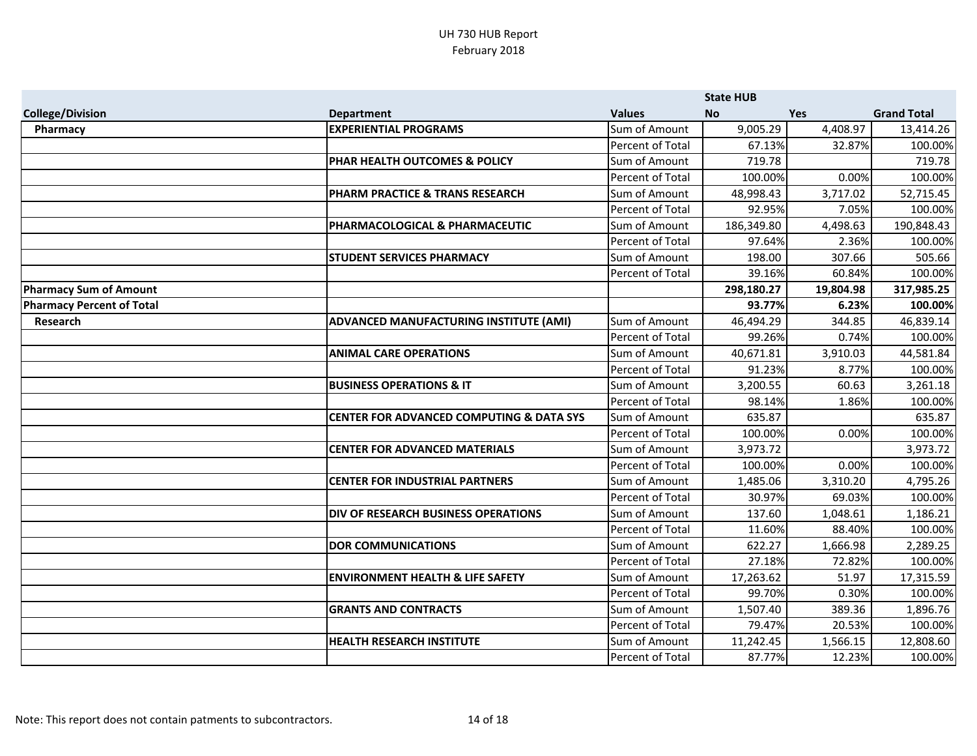|                                  |                                                     |                         | <b>State HUB</b> |            |                    |
|----------------------------------|-----------------------------------------------------|-------------------------|------------------|------------|--------------------|
| <b>College/Division</b>          | <b>Department</b>                                   | <b>Values</b>           | <b>No</b>        | <b>Yes</b> | <b>Grand Total</b> |
| Pharmacy                         | <b>EXPERIENTIAL PROGRAMS</b>                        | Sum of Amount           | 9,005.29         | 4,408.97   | 13,414.26          |
|                                  |                                                     | Percent of Total        | 67.13%           | 32.87%     | 100.00%            |
|                                  | PHAR HEALTH OUTCOMES & POLICY                       | Sum of Amount           | 719.78           |            | 719.78             |
|                                  |                                                     | Percent of Total        | 100.00%          | 0.00%      | 100.00%            |
|                                  | PHARM PRACTICE & TRANS RESEARCH                     | Sum of Amount           | 48,998.43        | 3,717.02   | 52,715.45          |
|                                  |                                                     | <b>Percent of Total</b> | 92.95%           | 7.05%      | 100.00%            |
|                                  | PHARMACOLOGICAL & PHARMACEUTIC                      | Sum of Amount           | 186,349.80       | 4,498.63   | 190,848.43         |
|                                  |                                                     | Percent of Total        | 97.64%           | 2.36%      | 100.00%            |
|                                  | <b>STUDENT SERVICES PHARMACY</b>                    | Sum of Amount           | 198.00           | 307.66     | 505.66             |
|                                  |                                                     | Percent of Total        | 39.16%           | 60.84%     | 100.00%            |
| <b>Pharmacy Sum of Amount</b>    |                                                     |                         | 298,180.27       | 19,804.98  | 317,985.25         |
| <b>Pharmacy Percent of Total</b> |                                                     |                         | 93.77%           | 6.23%      | 100.00%            |
| Research                         | ADVANCED MANUFACTURING INSTITUTE (AMI)              | Sum of Amount           | 46,494.29        | 344.85     | 46,839.14          |
|                                  |                                                     | Percent of Total        | 99.26%           | 0.74%      | 100.00%            |
|                                  | <b>ANIMAL CARE OPERATIONS</b>                       | Sum of Amount           | 40,671.81        | 3,910.03   | 44,581.84          |
|                                  |                                                     | Percent of Total        | 91.23%           | 8.77%      | 100.00%            |
|                                  | <b>BUSINESS OPERATIONS &amp; IT</b>                 | Sum of Amount           | 3,200.55         | 60.63      | 3,261.18           |
|                                  |                                                     | Percent of Total        | 98.14%           | 1.86%      | 100.00%            |
|                                  | <b>CENTER FOR ADVANCED COMPUTING &amp; DATA SYS</b> | Sum of Amount           | 635.87           |            | 635.87             |
|                                  |                                                     | Percent of Total        | 100.00%          | 0.00%      | 100.00%            |
|                                  | <b>CENTER FOR ADVANCED MATERIALS</b>                | Sum of Amount           | 3,973.72         |            | 3,973.72           |
|                                  |                                                     | Percent of Total        | 100.00%          | 0.00%      | 100.00%            |
|                                  | <b>CENTER FOR INDUSTRIAL PARTNERS</b>               | Sum of Amount           | 1,485.06         | 3,310.20   | 4,795.26           |
|                                  |                                                     | Percent of Total        | 30.97%           | 69.03%     | 100.00%            |
|                                  | <b>DIV OF RESEARCH BUSINESS OPERATIONS</b>          | Sum of Amount           | 137.60           | 1,048.61   | 1,186.21           |
|                                  |                                                     | Percent of Total        | 11.60%           | 88.40%     | 100.00%            |
|                                  | <b>DOR COMMUNICATIONS</b>                           | Sum of Amount           | 622.27           | 1,666.98   | 2,289.25           |
|                                  |                                                     | Percent of Total        | 27.18%           | 72.82%     | 100.00%            |
|                                  | <b>ENVIRONMENT HEALTH &amp; LIFE SAFETY</b>         | Sum of Amount           | 17,263.62        | 51.97      | 17,315.59          |
|                                  |                                                     | Percent of Total        | 99.70%           | 0.30%      | 100.00%            |
|                                  | <b>GRANTS AND CONTRACTS</b>                         | Sum of Amount           | 1,507.40         | 389.36     | 1,896.76           |
|                                  |                                                     | Percent of Total        | 79.47%           | 20.53%     | 100.00%            |
|                                  | <b>HEALTH RESEARCH INSTITUTE</b>                    | Sum of Amount           | 11,242.45        | 1,566.15   | 12,808.60          |
|                                  |                                                     | Percent of Total        | 87.77%           | 12.23%     | 100.00%            |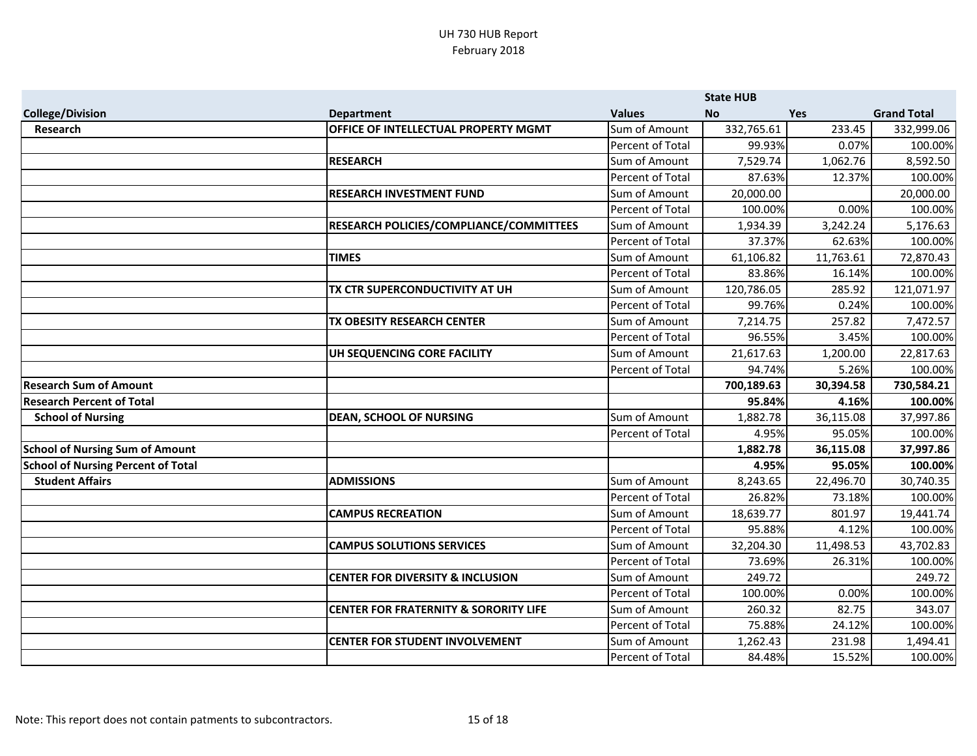|                                           |                                                  |                  | <b>State HUB</b> |            |                    |
|-------------------------------------------|--------------------------------------------------|------------------|------------------|------------|--------------------|
| <b>College/Division</b>                   | <b>Department</b>                                | <b>Values</b>    | <b>No</b>        | <b>Yes</b> | <b>Grand Total</b> |
| <b>Research</b>                           | OFFICE OF INTELLECTUAL PROPERTY MGMT             | Sum of Amount    | 332,765.61       | 233.45     | 332,999.06         |
|                                           |                                                  | Percent of Total | 99.93%           | 0.07%      | 100.00%            |
|                                           | <b>RESEARCH</b>                                  | Sum of Amount    | 7,529.74         | 1,062.76   | 8,592.50           |
|                                           |                                                  | Percent of Total | 87.63%           | 12.37%     | 100.00%            |
|                                           | <b>RESEARCH INVESTMENT FUND</b>                  | Sum of Amount    | 20,000.00        |            | 20,000.00          |
|                                           |                                                  | Percent of Total | 100.00%          | 0.00%      | 100.00%            |
|                                           | RESEARCH POLICIES/COMPLIANCE/COMMITTEES          | Sum of Amount    | 1,934.39         | 3,242.24   | 5,176.63           |
|                                           |                                                  | Percent of Total | 37.37%           | 62.63%     | 100.00%            |
|                                           | <b>TIMES</b>                                     | Sum of Amount    | 61,106.82        | 11,763.61  | 72,870.43          |
|                                           |                                                  | Percent of Total | 83.86%           | 16.14%     | 100.00%            |
|                                           | TX CTR SUPERCONDUCTIVITY AT UH                   | Sum of Amount    | 120,786.05       | 285.92     | 121,071.97         |
|                                           |                                                  | Percent of Total | 99.76%           | 0.24%      | 100.00%            |
|                                           | TX OBESITY RESEARCH CENTER                       | Sum of Amount    | 7,214.75         | 257.82     | 7,472.57           |
|                                           |                                                  | Percent of Total | 96.55%           | 3.45%      | 100.00%            |
|                                           | UH SEQUENCING CORE FACILITY                      | Sum of Amount    | 21,617.63        | 1,200.00   | 22,817.63          |
|                                           |                                                  | Percent of Total | 94.74%           | 5.26%      | 100.00%            |
| <b>Research Sum of Amount</b>             |                                                  |                  | 700,189.63       | 30,394.58  | 730,584.21         |
| <b>Research Percent of Total</b>          |                                                  |                  | 95.84%           | 4.16%      | 100.00%            |
| <b>School of Nursing</b>                  | <b>DEAN, SCHOOL OF NURSING</b>                   | Sum of Amount    | 1,882.78         | 36,115.08  | 37,997.86          |
|                                           |                                                  | Percent of Total | 4.95%            | 95.05%     | 100.00%            |
| <b>School of Nursing Sum of Amount</b>    |                                                  |                  | 1,882.78         | 36,115.08  | 37,997.86          |
| <b>School of Nursing Percent of Total</b> |                                                  |                  | 4.95%            | 95.05%     | 100.00%            |
| <b>Student Affairs</b>                    | <b>ADMISSIONS</b>                                | Sum of Amount    | 8,243.65         | 22,496.70  | 30,740.35          |
|                                           |                                                  | Percent of Total | 26.82%           | 73.18%     | 100.00%            |
|                                           | <b>CAMPUS RECREATION</b>                         | Sum of Amount    | 18,639.77        | 801.97     | 19,441.74          |
|                                           |                                                  | Percent of Total | 95.88%           | 4.12%      | 100.00%            |
|                                           | <b>CAMPUS SOLUTIONS SERVICES</b>                 | Sum of Amount    | 32,204.30        | 11,498.53  | 43,702.83          |
|                                           |                                                  | Percent of Total | 73.69%           | 26.31%     | 100.00%            |
|                                           | <b>CENTER FOR DIVERSITY &amp; INCLUSION</b>      | Sum of Amount    | 249.72           |            | 249.72             |
|                                           |                                                  | Percent of Total | 100.00%          | 0.00%      | 100.00%            |
|                                           | <b>CENTER FOR FRATERNITY &amp; SORORITY LIFE</b> | Sum of Amount    | 260.32           | 82.75      | 343.07             |
|                                           |                                                  | Percent of Total | 75.88%           | 24.12%     | 100.00%            |
|                                           | <b>CENTER FOR STUDENT INVOLVEMENT</b>            | Sum of Amount    | 1,262.43         | 231.98     | 1,494.41           |
|                                           |                                                  | Percent of Total | 84.48%           | 15.52%     | 100.00%            |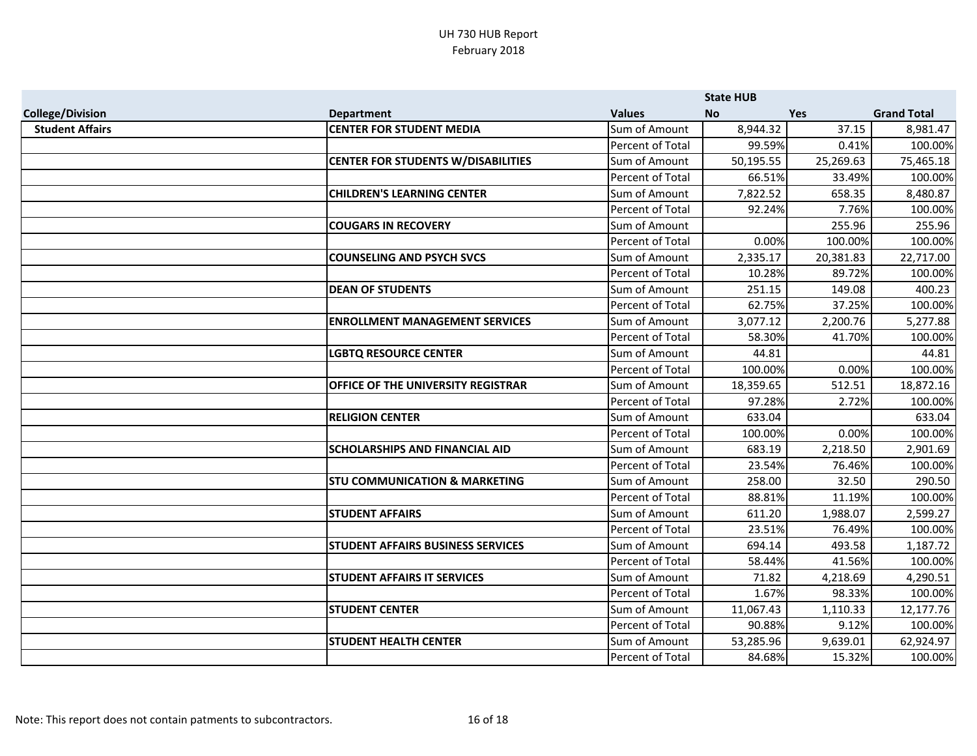|                         |                                           |                         | <b>State HUB</b> |            |                    |
|-------------------------|-------------------------------------------|-------------------------|------------------|------------|--------------------|
| <b>College/Division</b> | <b>Department</b>                         | <b>Values</b>           | <b>No</b>        | <b>Yes</b> | <b>Grand Total</b> |
| <b>Student Affairs</b>  | <b>CENTER FOR STUDENT MEDIA</b>           | Sum of Amount           | 8,944.32         | 37.15      | 8,981.47           |
|                         |                                           | Percent of Total        | 99.59%           | 0.41%      | 100.00%            |
|                         | <b>CENTER FOR STUDENTS W/DISABILITIES</b> | Sum of Amount           | 50,195.55        | 25,269.63  | 75,465.18          |
|                         |                                           | Percent of Total        | 66.51%           | 33.49%     | 100.00%            |
|                         | <b>CHILDREN'S LEARNING CENTER</b>         | Sum of Amount           | 7,822.52         | 658.35     | 8,480.87           |
|                         |                                           | <b>Percent of Total</b> | 92.24%           | 7.76%      | 100.00%            |
|                         | <b>COUGARS IN RECOVERY</b>                | Sum of Amount           |                  | 255.96     | 255.96             |
|                         |                                           | Percent of Total        | 0.00%            | 100.00%    | 100.00%            |
|                         | <b>COUNSELING AND PSYCH SVCS</b>          | Sum of Amount           | 2,335.17         | 20,381.83  | 22,717.00          |
|                         |                                           | Percent of Total        | 10.28%           | 89.72%     | 100.00%            |
|                         | <b>DEAN OF STUDENTS</b>                   | Sum of Amount           | 251.15           | 149.08     | 400.23             |
|                         |                                           | Percent of Total        | 62.75%           | 37.25%     | 100.00%            |
|                         | <b>ENROLLMENT MANAGEMENT SERVICES</b>     | Sum of Amount           | 3,077.12         | 2,200.76   | 5,277.88           |
|                         |                                           | Percent of Total        | 58.30%           | 41.70%     | 100.00%            |
|                         | <b>LGBTQ RESOURCE CENTER</b>              | Sum of Amount           | 44.81            |            | 44.81              |
|                         |                                           | Percent of Total        | 100.00%          | 0.00%      | 100.00%            |
|                         | OFFICE OF THE UNIVERSITY REGISTRAR        | Sum of Amount           | 18,359.65        | 512.51     | 18,872.16          |
|                         |                                           | Percent of Total        | 97.28%           | 2.72%      | 100.00%            |
|                         | <b>RELIGION CENTER</b>                    | Sum of Amount           | 633.04           |            | 633.04             |
|                         |                                           | Percent of Total        | 100.00%          | 0.00%      | 100.00%            |
|                         | <b>SCHOLARSHIPS AND FINANCIAL AID</b>     | Sum of Amount           | 683.19           | 2,218.50   | 2,901.69           |
|                         |                                           | Percent of Total        | 23.54%           | 76.46%     | 100.00%            |
|                         | <b>STU COMMUNICATION &amp; MARKETING</b>  | Sum of Amount           | 258.00           | 32.50      | 290.50             |
|                         |                                           | Percent of Total        | 88.81%           | 11.19%     | 100.00%            |
|                         | <b>STUDENT AFFAIRS</b>                    | Sum of Amount           | 611.20           | 1,988.07   | 2,599.27           |
|                         |                                           | Percent of Total        | 23.51%           | 76.49%     | 100.00%            |
|                         | STUDENT AFFAIRS BUSINESS SERVICES         | Sum of Amount           | 694.14           | 493.58     | 1,187.72           |
|                         |                                           | Percent of Total        | 58.44%           | 41.56%     | 100.00%            |
|                         | <b>STUDENT AFFAIRS IT SERVICES</b>        | Sum of Amount           | 71.82            | 4,218.69   | 4,290.51           |
|                         |                                           | Percent of Total        | 1.67%            | 98.33%     | 100.00%            |
|                         | <b>STUDENT CENTER</b>                     | Sum of Amount           | 11,067.43        | 1,110.33   | 12,177.76          |
|                         |                                           | Percent of Total        | 90.88%           | 9.12%      | 100.00%            |
|                         | <b>STUDENT HEALTH CENTER</b>              | Sum of Amount           | 53,285.96        | 9,639.01   | 62,924.97          |
|                         |                                           | Percent of Total        | 84.68%           | 15.32%     | 100.00%            |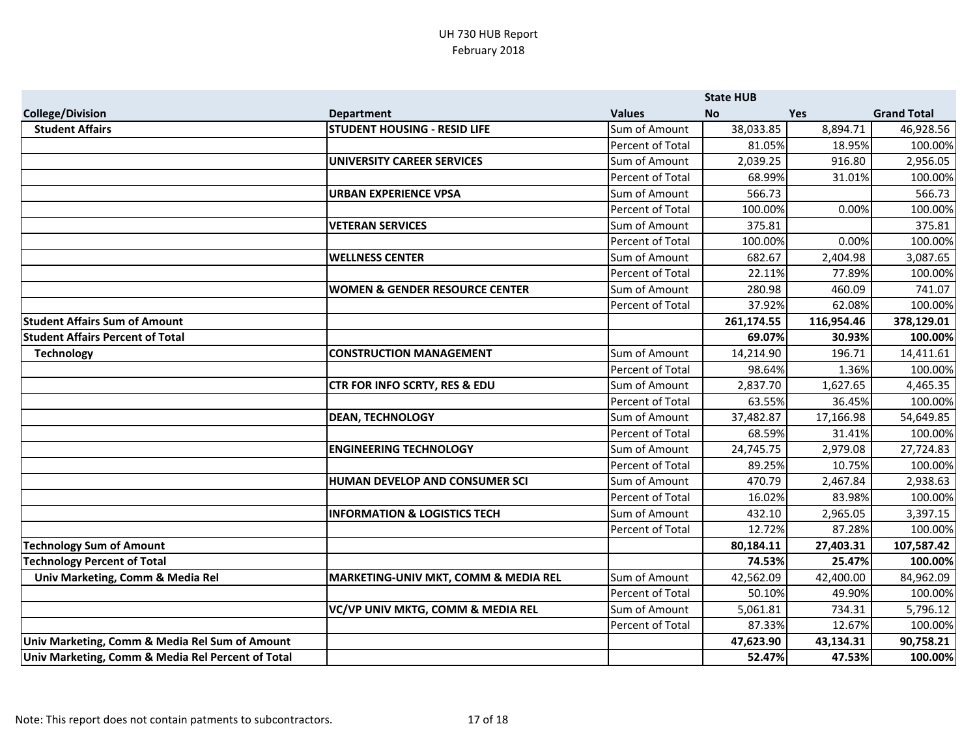|                                                   |                                          |                  | <b>State HUB</b> |            |                    |
|---------------------------------------------------|------------------------------------------|------------------|------------------|------------|--------------------|
| <b>College/Division</b>                           | <b>Department</b>                        | <b>Values</b>    | <b>No</b>        | <b>Yes</b> | <b>Grand Total</b> |
| <b>Student Affairs</b>                            | <b>STUDENT HOUSING - RESID LIFE</b>      | Sum of Amount    | 38,033.85        | 8,894.71   | 46,928.56          |
|                                                   |                                          | Percent of Total | 81.05%           | 18.95%     | 100.00%            |
|                                                   | <b>UNIVERSITY CAREER SERVICES</b>        | Sum of Amount    | 2,039.25         | 916.80     | 2,956.05           |
|                                                   |                                          | Percent of Total | 68.99%           | 31.01%     | 100.00%            |
|                                                   | <b>URBAN EXPERIENCE VPSA</b>             | Sum of Amount    | 566.73           |            | 566.73             |
|                                                   |                                          | Percent of Total | 100.00%          | 0.00%      | 100.00%            |
|                                                   | <b>VETERAN SERVICES</b>                  | Sum of Amount    | 375.81           |            | 375.81             |
|                                                   |                                          | Percent of Total | 100.00%          | 0.00%      | 100.00%            |
|                                                   | <b>WELLNESS CENTER</b>                   | Sum of Amount    | 682.67           | 2,404.98   | 3,087.65           |
|                                                   |                                          | Percent of Total | 22.11%           | 77.89%     | 100.00%            |
|                                                   | WOMEN & GENDER RESOURCE CENTER           | Sum of Amount    | 280.98           | 460.09     | 741.07             |
|                                                   |                                          | Percent of Total | 37.92%           | 62.08%     | 100.00%            |
| <b>Student Affairs Sum of Amount</b>              |                                          |                  | 261,174.55       | 116,954.46 | 378,129.01         |
| <b>Student Affairs Percent of Total</b>           |                                          |                  | 69.07%           | 30.93%     | 100.00%            |
| <b>Technology</b>                                 | <b>CONSTRUCTION MANAGEMENT</b>           | Sum of Amount    | 14,214.90        | 196.71     | 14,411.61          |
|                                                   |                                          | Percent of Total | 98.64%           | 1.36%      | 100.00%            |
|                                                   | <b>CTR FOR INFO SCRTY, RES &amp; EDU</b> | Sum of Amount    | 2,837.70         | 1,627.65   | 4,465.35           |
|                                                   |                                          | Percent of Total | 63.55%           | 36.45%     | 100.00%            |
|                                                   | <b>DEAN, TECHNOLOGY</b>                  | Sum of Amount    | 37,482.87        | 17,166.98  | 54,649.85          |
|                                                   |                                          | Percent of Total | 68.59%           | 31.41%     | 100.00%            |
|                                                   | <b>ENGINEERING TECHNOLOGY</b>            | Sum of Amount    | 24,745.75        | 2,979.08   | 27,724.83          |
|                                                   |                                          | Percent of Total | 89.25%           | 10.75%     | 100.00%            |
|                                                   | <b>HUMAN DEVELOP AND CONSUMER SCI</b>    | Sum of Amount    | 470.79           | 2,467.84   | 2,938.63           |
|                                                   |                                          | Percent of Total | 16.02%           | 83.98%     | 100.00%            |
|                                                   | <b>INFORMATION &amp; LOGISTICS TECH</b>  | Sum of Amount    | 432.10           | 2,965.05   | 3,397.15           |
|                                                   |                                          | Percent of Total | 12.72%           | 87.28%     | 100.00%            |
| <b>Technology Sum of Amount</b>                   |                                          |                  | 80,184.11        | 27,403.31  | 107,587.42         |
| <b>Technology Percent of Total</b>                |                                          |                  | 74.53%           | 25.47%     | 100.00%            |
| Univ Marketing, Comm & Media Rel                  | MARKETING-UNIV MKT, COMM & MEDIA REL     | Sum of Amount    | 42,562.09        | 42,400.00  | 84,962.09          |
|                                                   |                                          | Percent of Total | 50.10%           | 49.90%     | 100.00%            |
|                                                   | VC/VP UNIV MKTG, COMM & MEDIA REL        | Sum of Amount    | 5,061.81         | 734.31     | 5,796.12           |
|                                                   |                                          | Percent of Total | 87.33%           | 12.67%     | 100.00%            |
| Univ Marketing, Comm & Media Rel Sum of Amount    |                                          |                  | 47,623.90        | 43,134.31  | 90,758.21          |
| Univ Marketing, Comm & Media Rel Percent of Total |                                          |                  | 52.47%           | 47.53%     | 100.00%            |